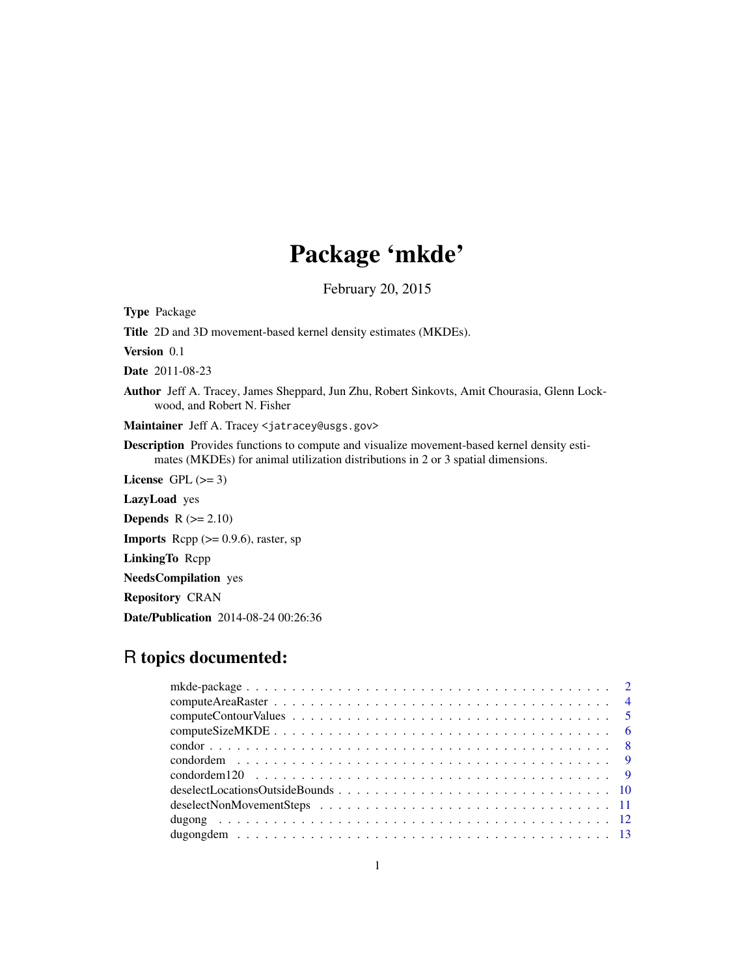# Package 'mkde'

February 20, 2015

Type Package Title 2D and 3D movement-based kernel density estimates (MKDEs). Version 0.1 Date 2011-08-23 Author Jeff A. Tracey, James Sheppard, Jun Zhu, Robert Sinkovts, Amit Chourasia, Glenn Lockwood, and Robert N. Fisher Maintainer Jeff A. Tracey <jatracey@usgs.gov> Description Provides functions to compute and visualize movement-based kernel density estimates (MKDEs) for animal utilization distributions in 2 or 3 spatial dimensions. License GPL  $(>= 3)$ LazyLoad yes **Depends**  $R$  ( $>= 2.10$ ) **Imports** Rcpp  $(>= 0.9.6)$ , raster, sp LinkingTo Rcpp NeedsCompilation yes Repository CRAN Date/Publication 2014-08-24 00:26:36

## R topics documented: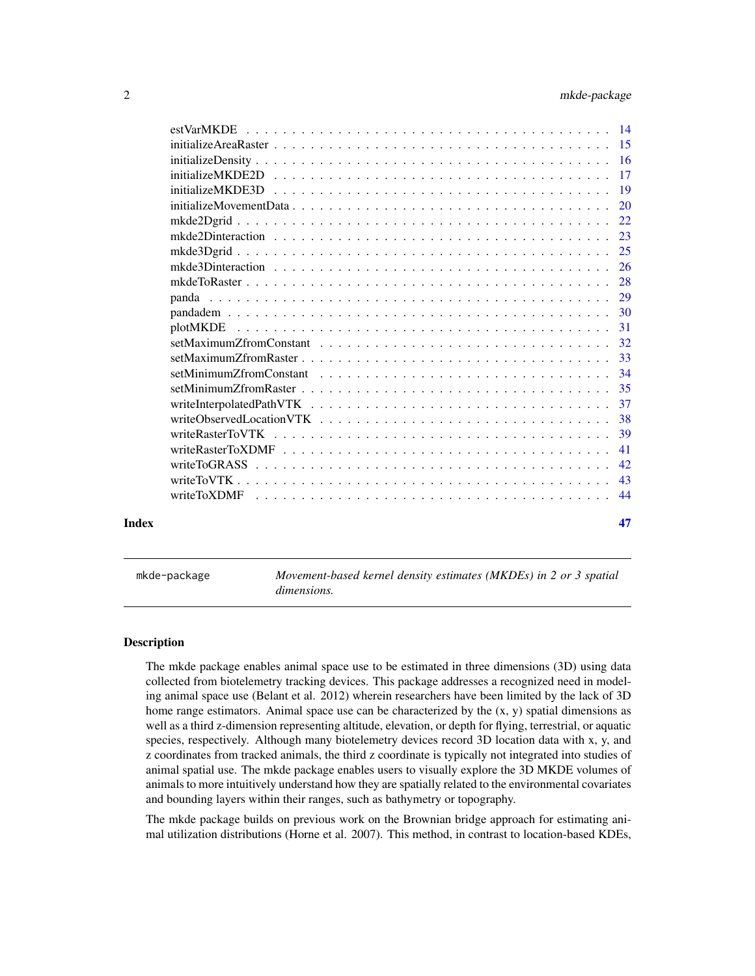<span id="page-1-0"></span>

| Index | 47 |
|-------|----|
|       |    |
|       |    |
|       |    |
|       |    |
|       |    |
|       |    |
|       |    |
|       |    |
|       |    |
|       |    |
|       |    |
|       |    |
|       |    |
|       |    |
|       |    |
|       |    |
|       |    |
|       |    |
|       |    |
|       |    |
|       |    |
|       |    |
|       |    |
|       |    |
|       |    |

mkde-package *Movement-based kernel density estimates (MKDEs) in 2 or 3 spatial dimensions.*

## Description

The mkde package enables animal space use to be estimated in three dimensions (3D) using data collected from biotelemetry tracking devices. This package addresses a recognized need in modeling animal space use (Belant et al. 2012) wherein researchers have been limited by the lack of 3D home range estimators. Animal space use can be characterized by the  $(x, y)$  spatial dimensions as well as a third z-dimension representing altitude, elevation, or depth for flying, terrestrial, or aquatic species, respectively. Although many biotelemetry devices record 3D location data with x, y, and z coordinates from tracked animals, the third z coordinate is typically not integrated into studies of animal spatial use. The mkde package enables users to visually explore the 3D MKDE volumes of animals to more intuitively understand how they are spatially related to the environmental covariates and bounding layers within their ranges, such as bathymetry or topography.

The mkde package builds on previous work on the Brownian bridge approach for estimating animal utilization distributions (Horne et al. 2007). This method, in contrast to location-based KDEs,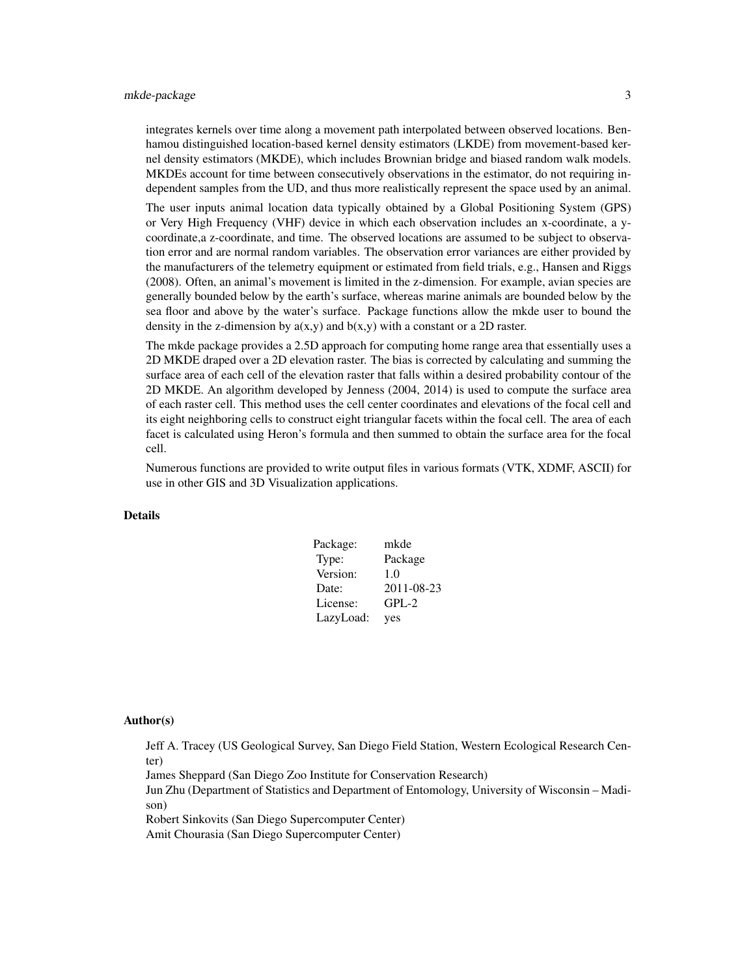## mkde-package 3

integrates kernels over time along a movement path interpolated between observed locations. Benhamou distinguished location-based kernel density estimators (LKDE) from movement-based kernel density estimators (MKDE), which includes Brownian bridge and biased random walk models. MKDEs account for time between consecutively observations in the estimator, do not requiring independent samples from the UD, and thus more realistically represent the space used by an animal.

The user inputs animal location data typically obtained by a Global Positioning System (GPS) or Very High Frequency (VHF) device in which each observation includes an x-coordinate, a ycoordinate,a z-coordinate, and time. The observed locations are assumed to be subject to observation error and are normal random variables. The observation error variances are either provided by the manufacturers of the telemetry equipment or estimated from field trials, e.g., Hansen and Riggs (2008). Often, an animal's movement is limited in the z-dimension. For example, avian species are generally bounded below by the earth's surface, whereas marine animals are bounded below by the sea floor and above by the water's surface. Package functions allow the mkde user to bound the density in the z-dimension by  $a(x,y)$  and  $b(x,y)$  with a constant or a 2D raster.

The mkde package provides a 2.5D approach for computing home range area that essentially uses a 2D MKDE draped over a 2D elevation raster. The bias is corrected by calculating and summing the surface area of each cell of the elevation raster that falls within a desired probability contour of the 2D MKDE. An algorithm developed by Jenness (2004, 2014) is used to compute the surface area of each raster cell. This method uses the cell center coordinates and elevations of the focal cell and its eight neighboring cells to construct eight triangular facets within the focal cell. The area of each facet is calculated using Heron's formula and then summed to obtain the surface area for the focal cell.

Numerous functions are provided to write output files in various formats (VTK, XDMF, ASCII) for use in other GIS and 3D Visualization applications.

## Details

| Package:  | mkde       |
|-----------|------------|
| Type:     | Package    |
| Version:  | 1.0        |
| Date:     | 2011-08-23 |
| License:  | $GPL-2$    |
| LazyLoad: | yes        |

### Author(s)

Jeff A. Tracey (US Geological Survey, San Diego Field Station, Western Ecological Research Center)

James Sheppard (San Diego Zoo Institute for Conservation Research)

Jun Zhu (Department of Statistics and Department of Entomology, University of Wisconsin – Madison)

Robert Sinkovits (San Diego Supercomputer Center)

Amit Chourasia (San Diego Supercomputer Center)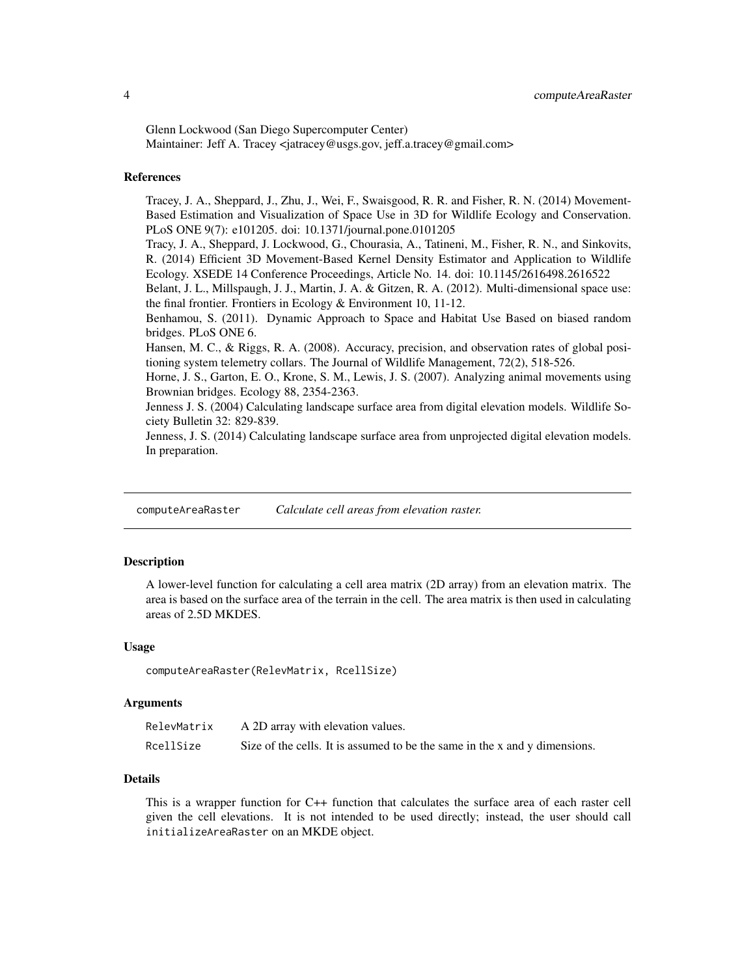Glenn Lockwood (San Diego Supercomputer Center) Maintainer: Jeff A. Tracey <jatracey@usgs.gov, jeff.a.tracey@gmail.com>

### References

Tracey, J. A., Sheppard, J., Zhu, J., Wei, F., Swaisgood, R. R. and Fisher, R. N. (2014) Movement-Based Estimation and Visualization of Space Use in 3D for Wildlife Ecology and Conservation. PLoS ONE 9(7): e101205. doi: 10.1371/journal.pone.0101205

Tracy, J. A., Sheppard, J. Lockwood, G., Chourasia, A., Tatineni, M., Fisher, R. N., and Sinkovits, R. (2014) Efficient 3D Movement-Based Kernel Density Estimator and Application to Wildlife Ecology. XSEDE 14 Conference Proceedings, Article No. 14. doi: 10.1145/2616498.2616522

Belant, J. L., Millspaugh, J. J., Martin, J. A. & Gitzen, R. A. (2012). Multi-dimensional space use: the final frontier. Frontiers in Ecology & Environment 10, 11-12.

Benhamou, S. (2011). Dynamic Approach to Space and Habitat Use Based on biased random bridges. PLoS ONE 6.

Hansen, M. C., & Riggs, R. A. (2008). Accuracy, precision, and observation rates of global positioning system telemetry collars. The Journal of Wildlife Management, 72(2), 518-526.

Horne, J. S., Garton, E. O., Krone, S. M., Lewis, J. S. (2007). Analyzing animal movements using Brownian bridges. Ecology 88, 2354-2363.

Jenness J. S. (2004) Calculating landscape surface area from digital elevation models. Wildlife Society Bulletin 32: 829-839.

Jenness, J. S. (2014) Calculating landscape surface area from unprojected digital elevation models. In preparation.

computeAreaRaster *Calculate cell areas from elevation raster.*

### Description

A lower-level function for calculating a cell area matrix (2D array) from an elevation matrix. The area is based on the surface area of the terrain in the cell. The area matrix is then used in calculating areas of 2.5D MKDES.

### Usage

computeAreaRaster(RelevMatrix, RcellSize)

### Arguments

| RelevMatrix | A 2D array with elevation values.                                          |
|-------------|----------------------------------------------------------------------------|
| RcellSize   | Size of the cells. It is assumed to be the same in the x and y dimensions. |

## Details

This is a wrapper function for C++ function that calculates the surface area of each raster cell given the cell elevations. It is not intended to be used directly; instead, the user should call initializeAreaRaster on an MKDE object.

<span id="page-3-0"></span>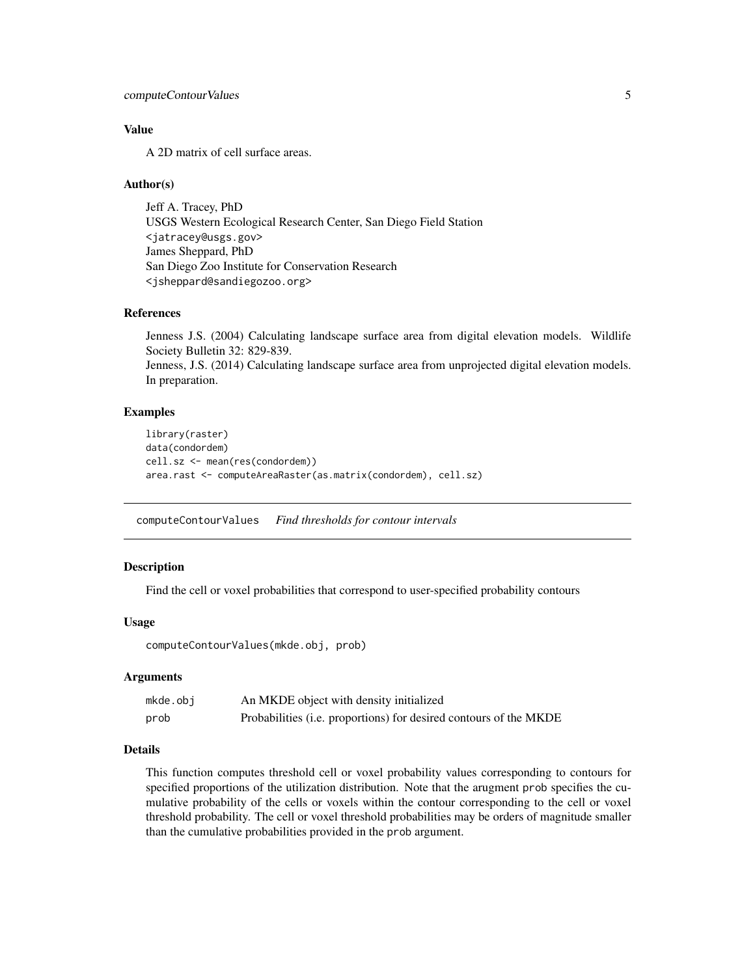## <span id="page-4-0"></span>computeContourValues 5

## Value

A 2D matrix of cell surface areas.

### Author(s)

Jeff A. Tracey, PhD USGS Western Ecological Research Center, San Diego Field Station <jatracey@usgs.gov> James Sheppard, PhD San Diego Zoo Institute for Conservation Research <jsheppard@sandiegozoo.org>

## References

Jenness J.S. (2004) Calculating landscape surface area from digital elevation models. Wildlife Society Bulletin 32: 829-839. Jenness, J.S. (2014) Calculating landscape surface area from unprojected digital elevation models. In preparation.

## Examples

```
library(raster)
data(condordem)
cell.sz <- mean(res(condordem))
area.rast <- computeAreaRaster(as.matrix(condordem), cell.sz)
```
computeContourValues *Find thresholds for contour intervals*

## Description

Find the cell or voxel probabilities that correspond to user-specified probability contours

### Usage

computeContourValues(mkde.obj, prob)

## Arguments

| mkde.obj | An MKDE object with density initialized                           |
|----------|-------------------------------------------------------------------|
| prob     | Probabilities (i.e. proportions) for desired contours of the MKDE |

### Details

This function computes threshold cell or voxel probability values corresponding to contours for specified proportions of the utilization distribution. Note that the arugment prob specifies the cumulative probability of the cells or voxels within the contour corresponding to the cell or voxel threshold probability. The cell or voxel threshold probabilities may be orders of magnitude smaller than the cumulative probabilities provided in the prob argument.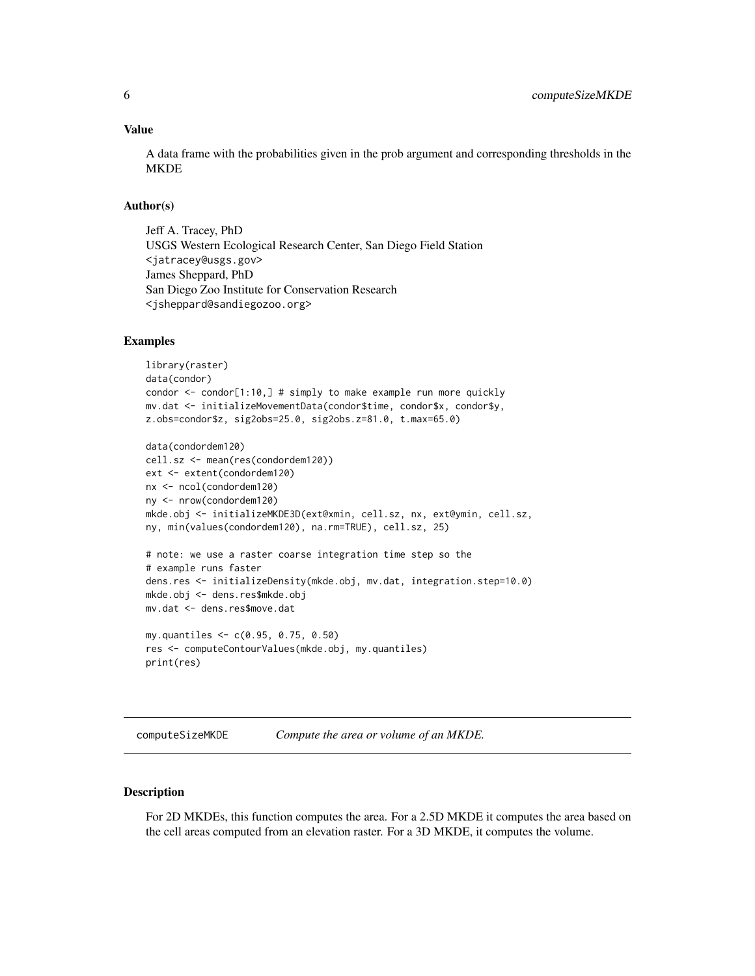## <span id="page-5-0"></span>Value

A data frame with the probabilities given in the prob argument and corresponding thresholds in the MKDE

### Author(s)

Jeff A. Tracey, PhD USGS Western Ecological Research Center, San Diego Field Station <jatracey@usgs.gov> James Sheppard, PhD San Diego Zoo Institute for Conservation Research <jsheppard@sandiegozoo.org>

### Examples

```
library(raster)
data(condor)
condor \le- condor[1:10,] # simply to make example run more quickly
mv.dat <- initializeMovementData(condor$time, condor$x, condor$y,
z.obs=condor$z, sig2obs=25.0, sig2obs.z=81.0, t.max=65.0)
```

```
data(condordem120)
cell.sz <- mean(res(condordem120))
ext <- extent(condordem120)
nx <- ncol(condordem120)
ny <- nrow(condordem120)
mkde.obj <- initializeMKDE3D(ext@xmin, cell.sz, nx, ext@ymin, cell.sz,
ny, min(values(condordem120), na.rm=TRUE), cell.sz, 25)
# note: we use a raster coarse integration time step so the
```

```
# example runs faster
dens.res <- initializeDensity(mkde.obj, mv.dat, integration.step=10.0)
mkde.obj <- dens.res$mkde.obj
mv.dat <- dens.res$move.dat
```

```
my.quantiles <- c(0.95, 0.75, 0.50)
res <- computeContourValues(mkde.obj, my.quantiles)
print(res)
```
computeSizeMKDE *Compute the area or volume of an MKDE.*

## Description

For 2D MKDEs, this function computes the area. For a 2.5D MKDE it computes the area based on the cell areas computed from an elevation raster. For a 3D MKDE, it computes the volume.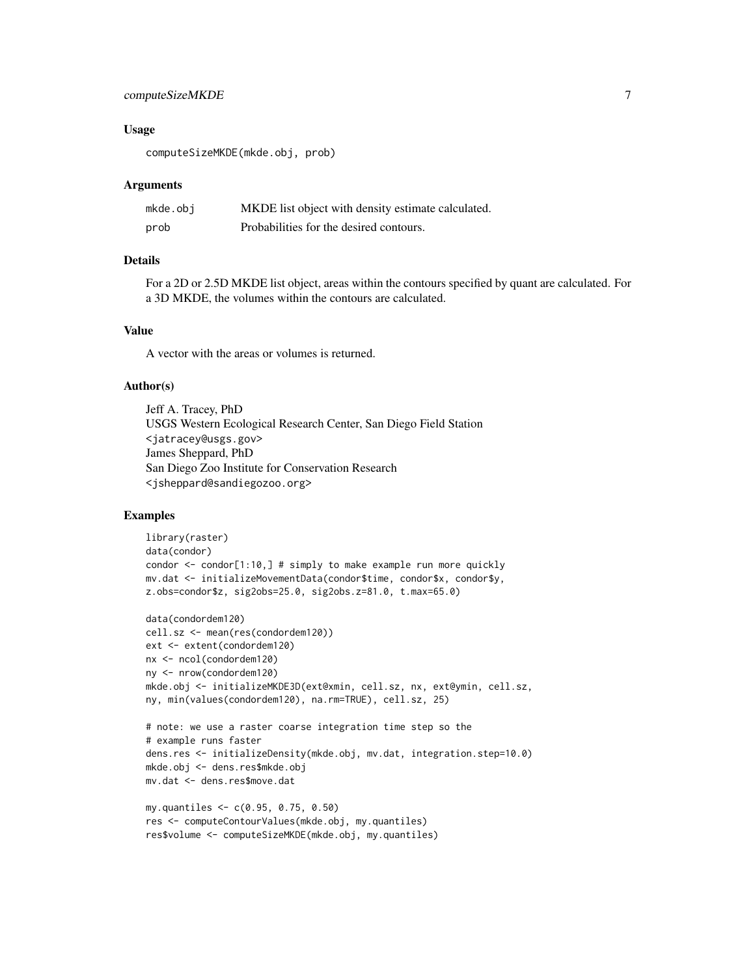## computeSizeMKDE 7

### Usage

computeSizeMKDE(mkde.obj, prob)

### Arguments

| mkde.obi | MKDE list object with density estimate calculated. |
|----------|----------------------------------------------------|
| prob     | Probabilities for the desired contours.            |

### Details

For a 2D or 2.5D MKDE list object, areas within the contours specified by quant are calculated. For a 3D MKDE, the volumes within the contours are calculated.

### Value

A vector with the areas or volumes is returned.

### Author(s)

Jeff A. Tracey, PhD USGS Western Ecological Research Center, San Diego Field Station <jatracey@usgs.gov> James Sheppard, PhD San Diego Zoo Institute for Conservation Research <jsheppard@sandiegozoo.org>

```
library(raster)
data(condor)
condor <- condor[1:10,] # simply to make example run more quickly
mv.dat <- initializeMovementData(condor$time, condor$x, condor$y,
z.obs=condor$z, sig2obs=25.0, sig2obs.z=81.0, t.max=65.0)
data(condordem120)
cell.sz <- mean(res(condordem120))
ext <- extent(condordem120)
nx <- ncol(condordem120)
ny <- nrow(condordem120)
mkde.obj <- initializeMKDE3D(ext@xmin, cell.sz, nx, ext@ymin, cell.sz,
ny, min(values(condordem120), na.rm=TRUE), cell.sz, 25)
# note: we use a raster coarse integration time step so the
# example runs faster
dens.res <- initializeDensity(mkde.obj, mv.dat, integration.step=10.0)
mkde.obj <- dens.res$mkde.obj
mv.dat <- dens.res$move.dat
```

```
my.quantiles <- c(0.95, 0.75, 0.50)
res <- computeContourValues(mkde.obj, my.quantiles)
res$volume <- computeSizeMKDE(mkde.obj, my.quantiles)
```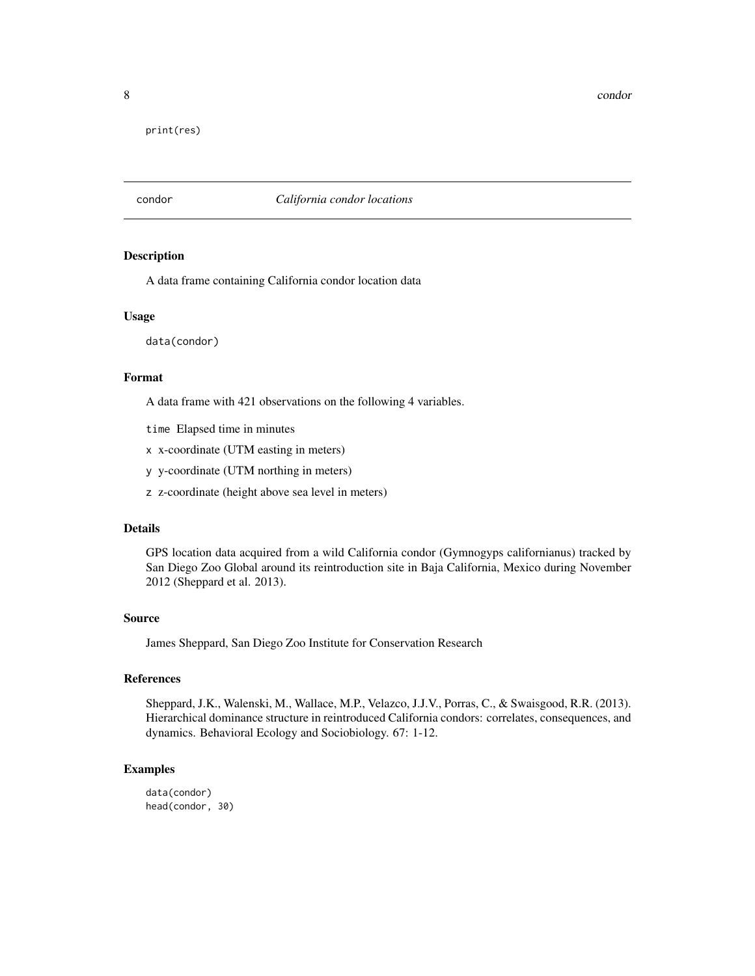<span id="page-7-0"></span>8 condor and the set of the set of the set of the set of the set of the set of the set of the set of the set of the set of the set of the set of the set of the set of the set of the set of the set of the set of the set of

print(res)

condor *California condor locations*

### Description

A data frame containing California condor location data

### Usage

data(condor)

### Format

A data frame with 421 observations on the following 4 variables.

time Elapsed time in minutes

x x-coordinate (UTM easting in meters)

y y-coordinate (UTM northing in meters)

z z-coordinate (height above sea level in meters)

## Details

GPS location data acquired from a wild California condor (Gymnogyps californianus) tracked by San Diego Zoo Global around its reintroduction site in Baja California, Mexico during November 2012 (Sheppard et al. 2013).

### Source

James Sheppard, San Diego Zoo Institute for Conservation Research

## References

Sheppard, J.K., Walenski, M., Wallace, M.P., Velazco, J.J.V., Porras, C., & Swaisgood, R.R. (2013). Hierarchical dominance structure in reintroduced California condors: correlates, consequences, and dynamics. Behavioral Ecology and Sociobiology. 67: 1-12.

## Examples

data(condor) head(condor, 30)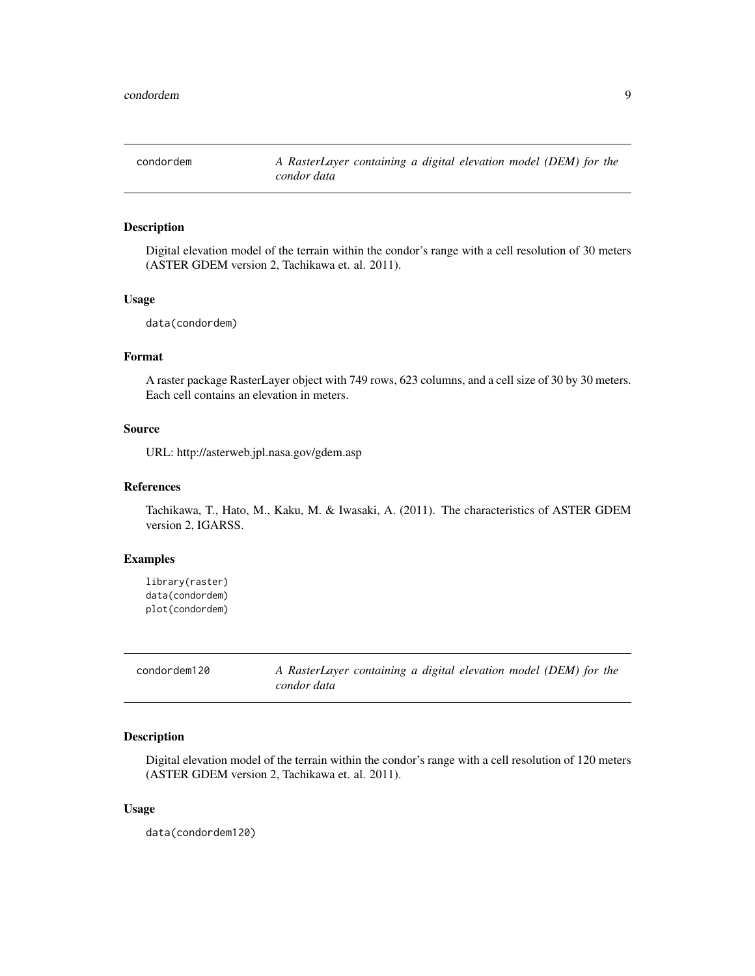<span id="page-8-0"></span>

### Description

Digital elevation model of the terrain within the condor's range with a cell resolution of 30 meters (ASTER GDEM version 2, Tachikawa et. al. 2011).

## Usage

data(condordem)

## Format

A raster package RasterLayer object with 749 rows, 623 columns, and a cell size of 30 by 30 meters. Each cell contains an elevation in meters.

## Source

URL: http://asterweb.jpl.nasa.gov/gdem.asp

## References

Tachikawa, T., Hato, M., Kaku, M. & Iwasaki, A. (2011). The characteristics of ASTER GDEM version 2, IGARSS.

## Examples

```
library(raster)
data(condordem)
plot(condordem)
```

| condordem120 | A RasterLayer containing a digital elevation model (DEM) for the |  |  |  |  |
|--------------|------------------------------------------------------------------|--|--|--|--|
|              | condor data                                                      |  |  |  |  |

## Description

Digital elevation model of the terrain within the condor's range with a cell resolution of 120 meters (ASTER GDEM version 2, Tachikawa et. al. 2011).

### Usage

data(condordem120)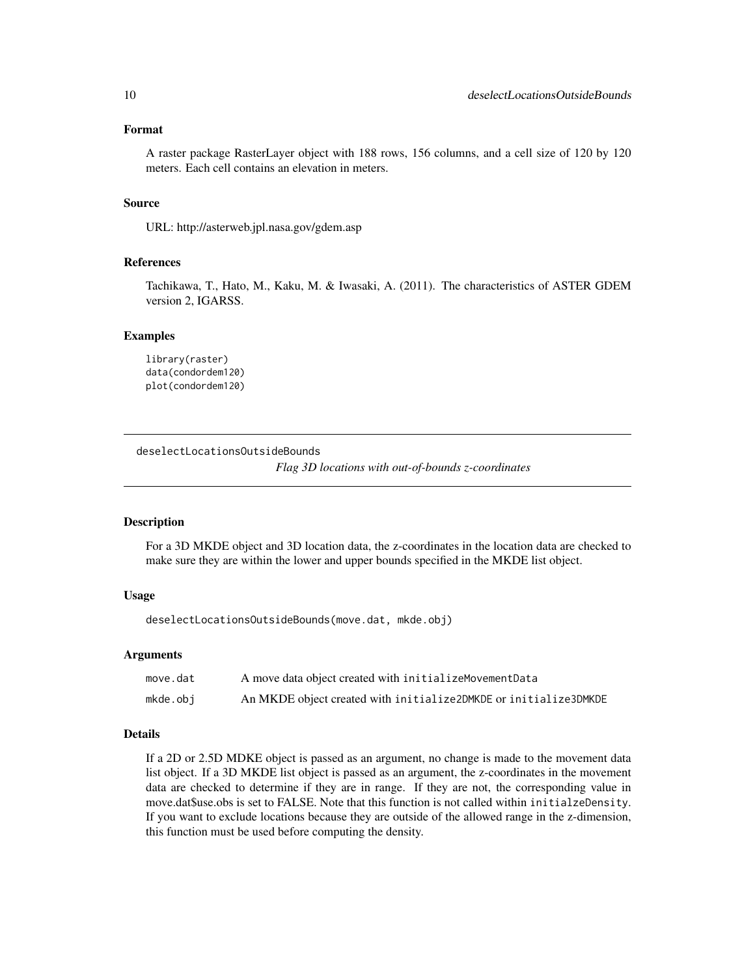## <span id="page-9-0"></span>Format

A raster package RasterLayer object with 188 rows, 156 columns, and a cell size of 120 by 120 meters. Each cell contains an elevation in meters.

## Source

URL: http://asterweb.jpl.nasa.gov/gdem.asp

## References

Tachikawa, T., Hato, M., Kaku, M. & Iwasaki, A. (2011). The characteristics of ASTER GDEM version 2, IGARSS.

### Examples

```
library(raster)
data(condordem120)
plot(condordem120)
```
deselectLocationsOutsideBounds

*Flag 3D locations with out-of-bounds z-coordinates*

## Description

For a 3D MKDE object and 3D location data, the z-coordinates in the location data are checked to make sure they are within the lower and upper bounds specified in the MKDE list object.

### Usage

deselectLocationsOutsideBounds(move.dat, mkde.obj)

### Arguments

| move.dat | A move data object created with initialize Movement Data         |
|----------|------------------------------------------------------------------|
| mkde.obj | An MKDE object created with initialize2DMKDE or initialize3DMKDE |

### Details

If a 2D or 2.5D MDKE object is passed as an argument, no change is made to the movement data list object. If a 3D MKDE list object is passed as an argument, the z-coordinates in the movement data are checked to determine if they are in range. If they are not, the corresponding value in move.dat\$use.obs is set to FALSE. Note that this function is not called within initialzeDensity. If you want to exclude locations because they are outside of the allowed range in the z-dimension, this function must be used before computing the density.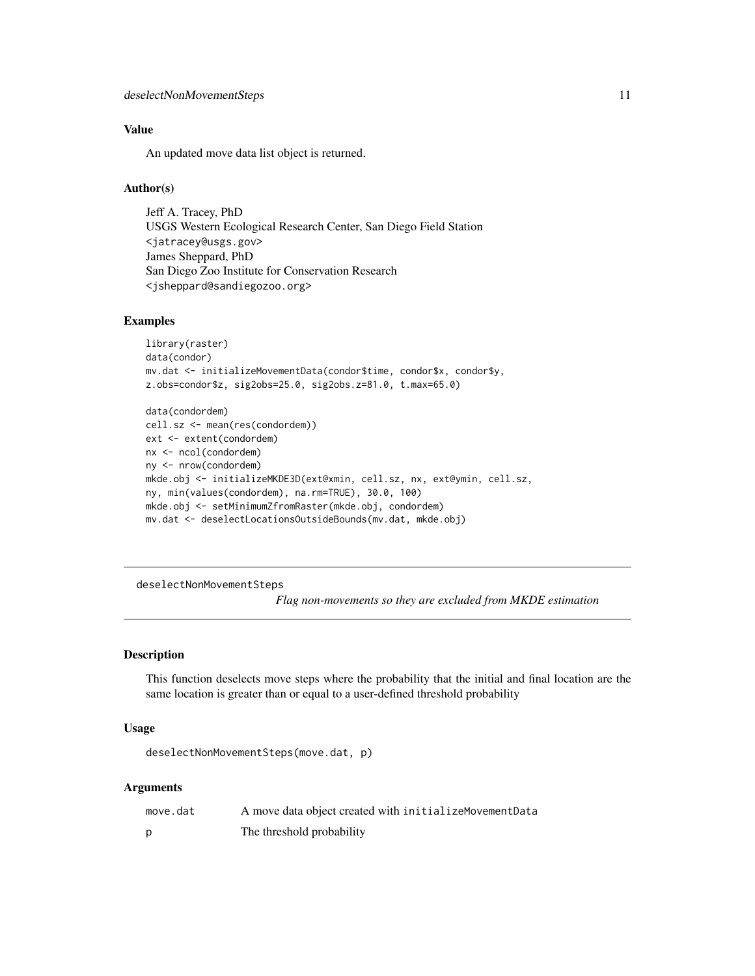## <span id="page-10-0"></span>Value

An updated move data list object is returned.

## Author(s)

Jeff A. Tracey, PhD USGS Western Ecological Research Center, San Diego Field Station <jatracey@usgs.gov> James Sheppard, PhD San Diego Zoo Institute for Conservation Research <jsheppard@sandiegozoo.org>

## Examples

```
library(raster)
data(condor)
mv.dat <- initializeMovementData(condor$time, condor$x, condor$y,
z.obs=condor$z, sig2obs=25.0, sig2obs.z=81.0, t.max=65.0)
data(condordem)
cell.sz <- mean(res(condordem))
ext <- extent(condordem)
nx <- ncol(condordem)
ny <- nrow(condordem)
mkde.obj <- initializeMKDE3D(ext@xmin, cell.sz, nx, ext@ymin, cell.sz,
ny, min(values(condordem), na.rm=TRUE), 30.0, 100)
mkde.obj <- setMinimumZfromRaster(mkde.obj, condordem)
mv.dat <- deselectLocationsOutsideBounds(mv.dat, mkde.obj)
```
deselectNonMovementSteps

*Flag non-movements so they are excluded from MKDE estimation*

## Description

This function deselects move steps where the probability that the initial and final location are the same location is greater than or equal to a user-defined threshold probability

### Usage

```
deselectNonMovementSteps(move.dat, p)
```
### Arguments

| move.dat | A move data object created with initializeMovementData |
|----------|--------------------------------------------------------|
|          | The threshold probability                              |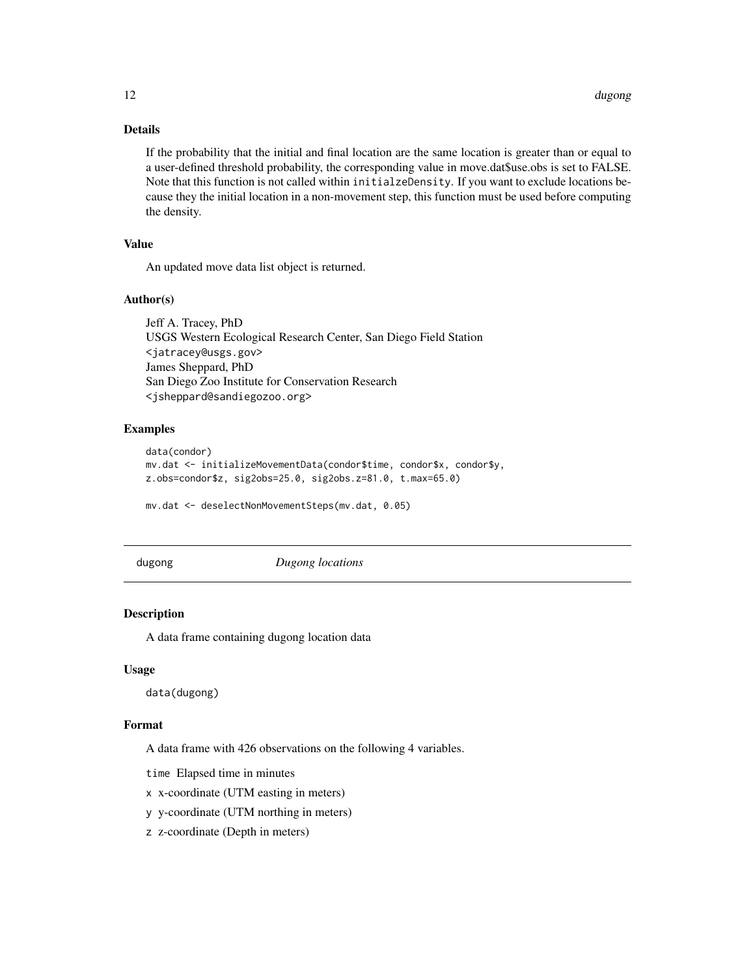## Details

If the probability that the initial and final location are the same location is greater than or equal to a user-defined threshold probability, the corresponding value in move.dat\$use.obs is set to FALSE. Note that this function is not called within initialzeDensity. If you want to exclude locations because they the initial location in a non-movement step, this function must be used before computing the density.

## Value

An updated move data list object is returned.

## Author(s)

Jeff A. Tracey, PhD USGS Western Ecological Research Center, San Diego Field Station <jatracey@usgs.gov> James Sheppard, PhD San Diego Zoo Institute for Conservation Research <jsheppard@sandiegozoo.org>

### Examples

```
data(condor)
mv.dat <- initializeMovementData(condor$time, condor$x, condor$y,
z.obs=condor$z, sig2obs=25.0, sig2obs.z=81.0, t.max=65.0)
mv.dat <- deselectNonMovementSteps(mv.dat, 0.05)
```
dugong *Dugong locations*

### Description

A data frame containing dugong location data

## Usage

data(dugong)

### Format

A data frame with 426 observations on the following 4 variables.

time Elapsed time in minutes

x x-coordinate (UTM easting in meters)

y y-coordinate (UTM northing in meters)

z z-coordinate (Depth in meters)

<span id="page-11-0"></span>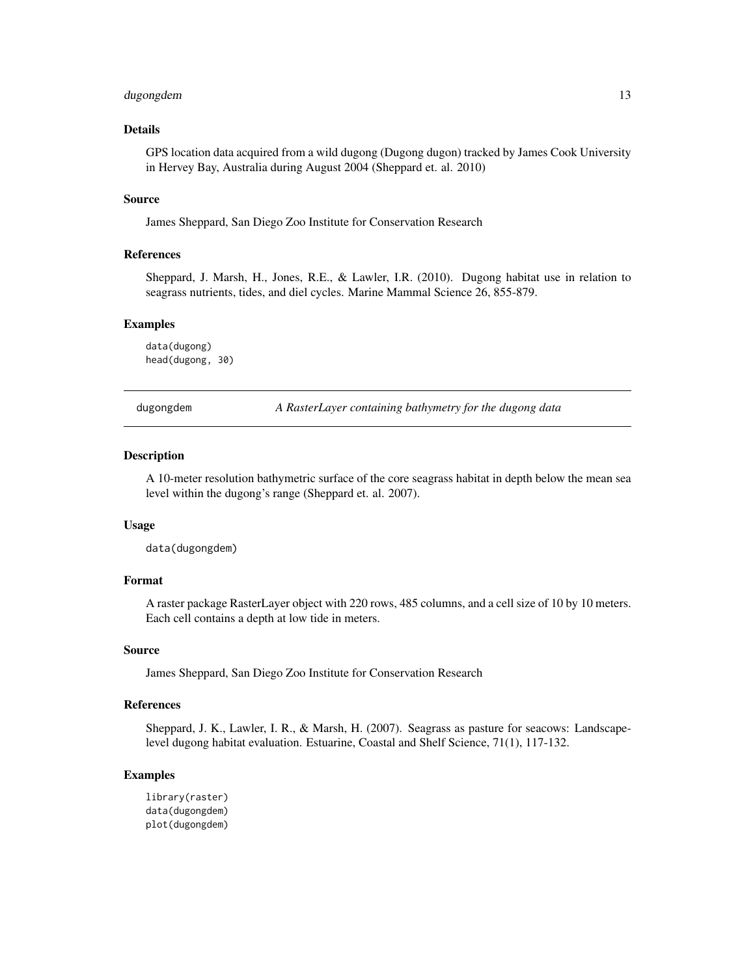## <span id="page-12-0"></span>dugongdem 13

## Details

GPS location data acquired from a wild dugong (Dugong dugon) tracked by James Cook University in Hervey Bay, Australia during August 2004 (Sheppard et. al. 2010)

### Source

James Sheppard, San Diego Zoo Institute for Conservation Research

## References

Sheppard, J. Marsh, H., Jones, R.E., & Lawler, I.R. (2010). Dugong habitat use in relation to seagrass nutrients, tides, and diel cycles. Marine Mammal Science 26, 855-879.

## Examples

```
data(dugong)
head(dugong, 30)
```
dugongdem *A RasterLayer containing bathymetry for the dugong data*

### **Description**

A 10-meter resolution bathymetric surface of the core seagrass habitat in depth below the mean sea level within the dugong's range (Sheppard et. al. 2007).

### Usage

data(dugongdem)

## Format

A raster package RasterLayer object with 220 rows, 485 columns, and a cell size of 10 by 10 meters. Each cell contains a depth at low tide in meters.

### Source

James Sheppard, San Diego Zoo Institute for Conservation Research

## References

Sheppard, J. K., Lawler, I. R., & Marsh, H. (2007). Seagrass as pasture for seacows: Landscapelevel dugong habitat evaluation. Estuarine, Coastal and Shelf Science, 71(1), 117-132.

```
library(raster)
data(dugongdem)
plot(dugongdem)
```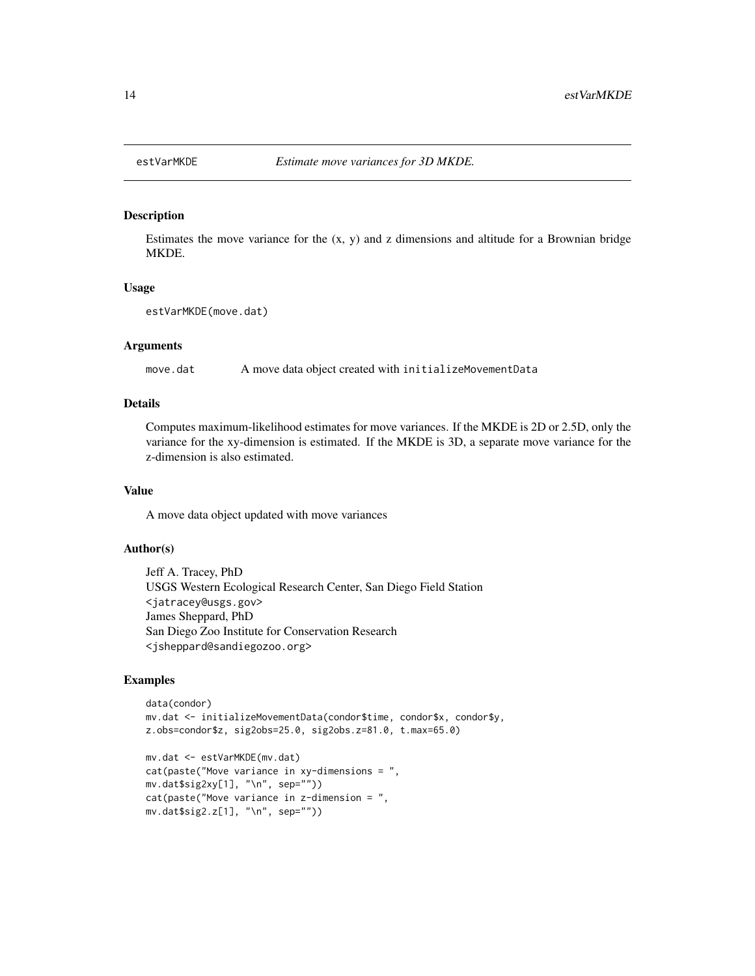<span id="page-13-0"></span>

### Description

Estimates the move variance for the  $(x, y)$  and z dimensions and altitude for a Brownian bridge MKDE.

### Usage

```
estVarMKDE(move.dat)
```
## Arguments

move.dat A move data object created with initializeMovementData

### Details

Computes maximum-likelihood estimates for move variances. If the MKDE is 2D or 2.5D, only the variance for the xy-dimension is estimated. If the MKDE is 3D, a separate move variance for the z-dimension is also estimated.

### Value

A move data object updated with move variances

## Author(s)

Jeff A. Tracey, PhD USGS Western Ecological Research Center, San Diego Field Station <jatracey@usgs.gov> James Sheppard, PhD San Diego Zoo Institute for Conservation Research <jsheppard@sandiegozoo.org>

```
data(condor)
mv.dat <- initializeMovementData(condor$time, condor$x, condor$y,
z.obs=condor$z, sig2obs=25.0, sig2obs.z=81.0, t.max=65.0)
```

```
mv.dat <- estVarMKDE(mv.dat)
cat(paste("Move variance in xy-dimensions = ",
mv.dat$sig2xy[1], "\n", sep=""))
cat(paste("Move variance in z-dimension = ",
mv.dat$sig2.z[1], "\n", sep=""))
```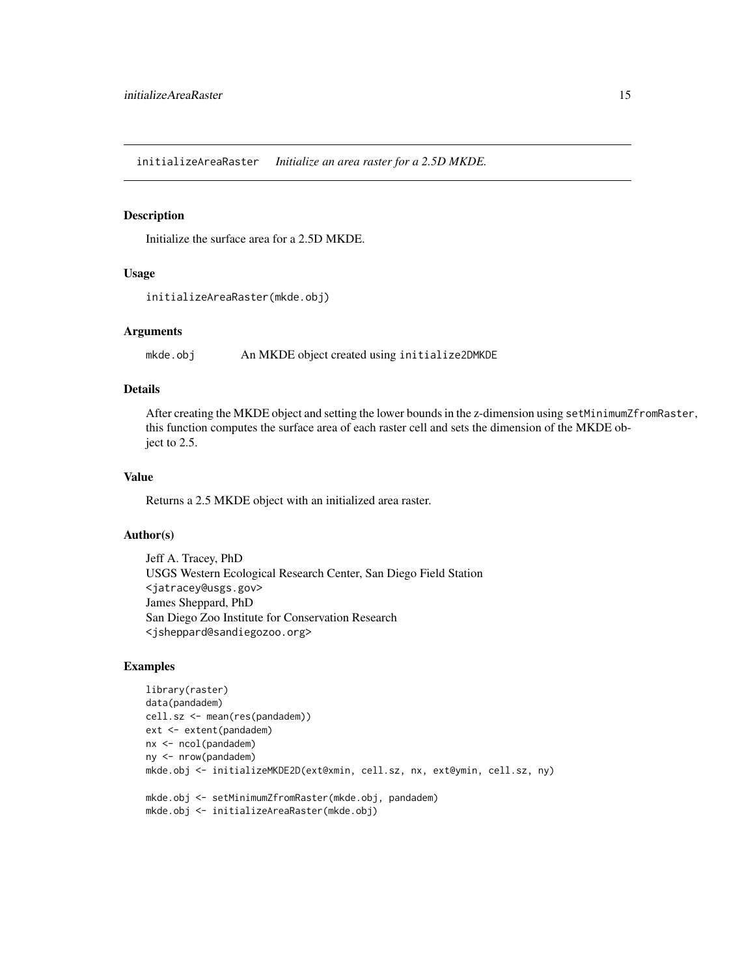<span id="page-14-0"></span>initializeAreaRaster *Initialize an area raster for a 2.5D MKDE.*

### Description

Initialize the surface area for a 2.5D MKDE.

### Usage

```
initializeAreaRaster(mkde.obj)
```
## Arguments

mkde.obj An MKDE object created using initialize2DMKDE

### Details

After creating the MKDE object and setting the lower bounds in the z-dimension using setMinimumZfromRaster, this function computes the surface area of each raster cell and sets the dimension of the MKDE object to 2.5.

## Value

Returns a 2.5 MKDE object with an initialized area raster.

## Author(s)

Jeff A. Tracey, PhD USGS Western Ecological Research Center, San Diego Field Station <jatracey@usgs.gov> James Sheppard, PhD San Diego Zoo Institute for Conservation Research <jsheppard@sandiegozoo.org>

```
library(raster)
data(pandadem)
cell.sz <- mean(res(pandadem))
ext <- extent(pandadem)
nx <- ncol(pandadem)
ny <- nrow(pandadem)
mkde.obj <- initializeMKDE2D(ext@xmin, cell.sz, nx, ext@ymin, cell.sz, ny)
mkde.obj <- setMinimumZfromRaster(mkde.obj, pandadem)
mkde.obj <- initializeAreaRaster(mkde.obj)
```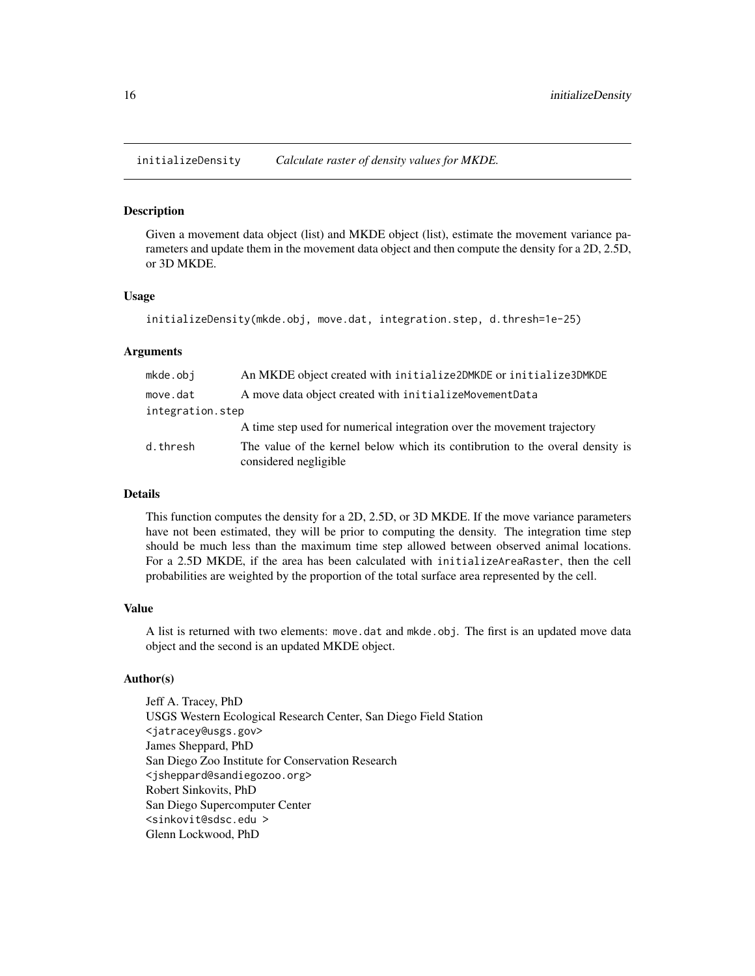<span id="page-15-0"></span>initializeDensity *Calculate raster of density values for MKDE.*

### **Description**

Given a movement data object (list) and MKDE object (list), estimate the movement variance parameters and update them in the movement data object and then compute the density for a 2D, 2.5D, or 3D MKDE.

### Usage

```
initializeDensity(mkde.obj, move.dat, integration.step, d.thresh=1e-25)
```
## Arguments

| mkde.obi         | An MKDE object created with initialize2DMKDE or initialize3DMKDE                                       |  |  |
|------------------|--------------------------------------------------------------------------------------------------------|--|--|
| move.dat         | A move data object created with initialize Movement Data                                               |  |  |
| integration.step |                                                                                                        |  |  |
|                  | A time step used for numerical integration over the movement trajectory                                |  |  |
| d.thresh         | The value of the kernel below which its contibrution to the overal density is<br>considered negligible |  |  |

## Details

This function computes the density for a 2D, 2.5D, or 3D MKDE. If the move variance parameters have not been estimated, they will be prior to computing the density. The integration time step should be much less than the maximum time step allowed between observed animal locations. For a 2.5D MKDE, if the area has been calculated with initializeAreaRaster, then the cell probabilities are weighted by the proportion of the total surface area represented by the cell.

## Value

A list is returned with two elements: move.dat and mkde.obj. The first is an updated move data object and the second is an updated MKDE object.

### Author(s)

Jeff A. Tracey, PhD USGS Western Ecological Research Center, San Diego Field Station <jatracey@usgs.gov> James Sheppard, PhD San Diego Zoo Institute for Conservation Research <jsheppard@sandiegozoo.org> Robert Sinkovits, PhD San Diego Supercomputer Center <sinkovit@sdsc.edu > Glenn Lockwood, PhD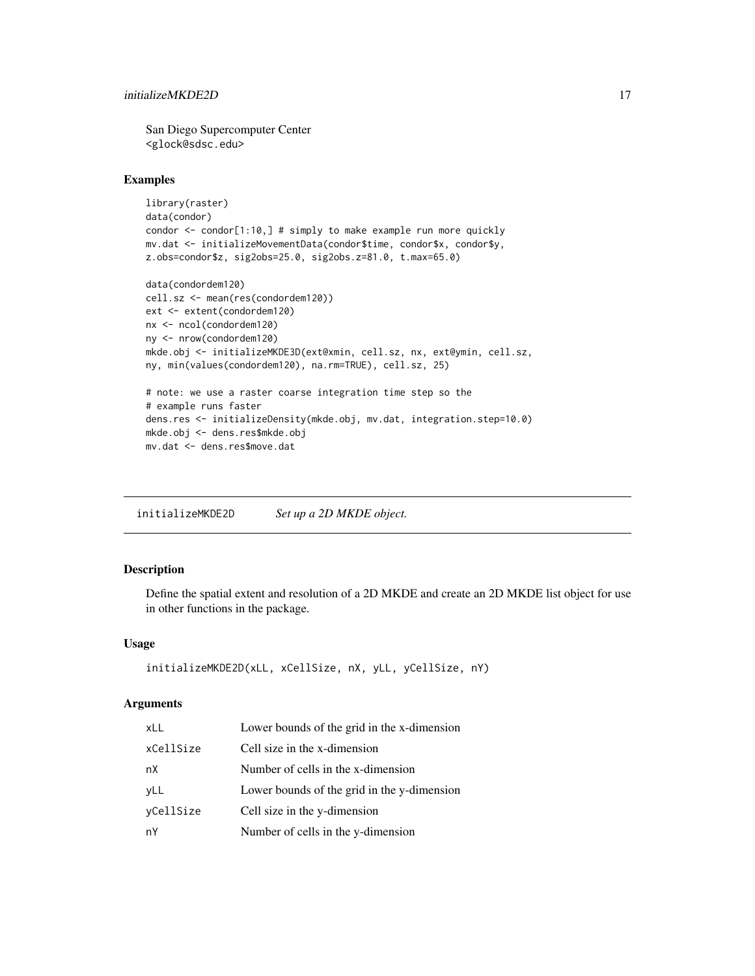<span id="page-16-0"></span>San Diego Supercomputer Center <glock@sdsc.edu>

### Examples

```
library(raster)
data(condor)
condor <- condor[1:10,] # simply to make example run more quickly
mv.dat <- initializeMovementData(condor$time, condor$x, condor$y,
z.obs=condor$z, sig2obs=25.0, sig2obs.z=81.0, t.max=65.0)
data(condordem120)
cell.sz <- mean(res(condordem120))
ext <- extent(condordem120)
nx <- ncol(condordem120)
ny <- nrow(condordem120)
mkde.obj <- initializeMKDE3D(ext@xmin, cell.sz, nx, ext@ymin, cell.sz,
ny, min(values(condordem120), na.rm=TRUE), cell.sz, 25)
# note: we use a raster coarse integration time step so the
# example runs faster
dens.res <- initializeDensity(mkde.obj, mv.dat, integration.step=10.0)
mkde.obj <- dens.res$mkde.obj
mv.dat <- dens.res$move.dat
```
initializeMKDE2D *Set up a 2D MKDE object.*

## Description

Define the spatial extent and resolution of a 2D MKDE and create an 2D MKDE list object for use in other functions in the package.

### Usage

```
initializeMKDE2D(xLL, xCellSize, nX, yLL, yCellSize, nY)
```
### Arguments

| <b>xLL</b> | Lower bounds of the grid in the x-dimension |
|------------|---------------------------------------------|
| xCellSize  | Cell size in the x-dimension                |
| nХ         | Number of cells in the x-dimension          |
| yLL        | Lower bounds of the grid in the y-dimension |
| yCellSize  | Cell size in the y-dimension                |
| nY         | Number of cells in the y-dimension          |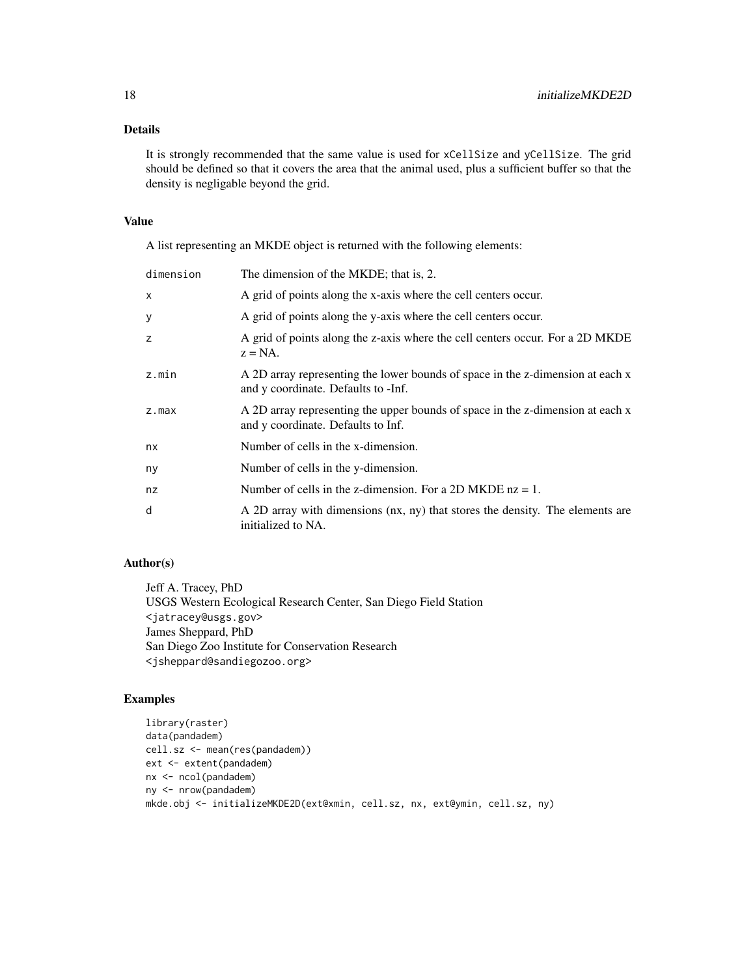## Details

It is strongly recommended that the same value is used for xCellSize and yCellSize. The grid should be defined so that it covers the area that the animal used, plus a sufficient buffer so that the density is negligable beyond the grid.

### Value

A list representing an MKDE object is returned with the following elements:

| dimension | The dimension of the MKDE; that is, 2.                                                                                |
|-----------|-----------------------------------------------------------------------------------------------------------------------|
| X         | A grid of points along the x-axis where the cell centers occur.                                                       |
| у         | A grid of points along the y-axis where the cell centers occur.                                                       |
| z         | A grid of points along the z-axis where the cell centers occur. For a 2D MKDE<br>$z = NA$ .                           |
| z.min     | A 2D array representing the lower bounds of space in the z-dimension at each x<br>and y coordinate. Defaults to -Inf. |
| $z$ . max | A 2D array representing the upper bounds of space in the z-dimension at each x<br>and y coordinate. Defaults to Inf.  |
| nx        | Number of cells in the x-dimension.                                                                                   |
| ny        | Number of cells in the y-dimension.                                                                                   |
| nz        | Number of cells in the z-dimension. For a 2D MKDE $nz = 1$ .                                                          |
| d         | A 2D array with dimensions (nx, ny) that stores the density. The elements are<br>initialized to NA.                   |

## Author(s)

Jeff A. Tracey, PhD USGS Western Ecological Research Center, San Diego Field Station <jatracey@usgs.gov> James Sheppard, PhD San Diego Zoo Institute for Conservation Research <jsheppard@sandiegozoo.org>

```
library(raster)
data(pandadem)
cell.sz <- mean(res(pandadem))
ext <- extent(pandadem)
nx <- ncol(pandadem)
ny <- nrow(pandadem)
mkde.obj <- initializeMKDE2D(ext@xmin, cell.sz, nx, ext@ymin, cell.sz, ny)
```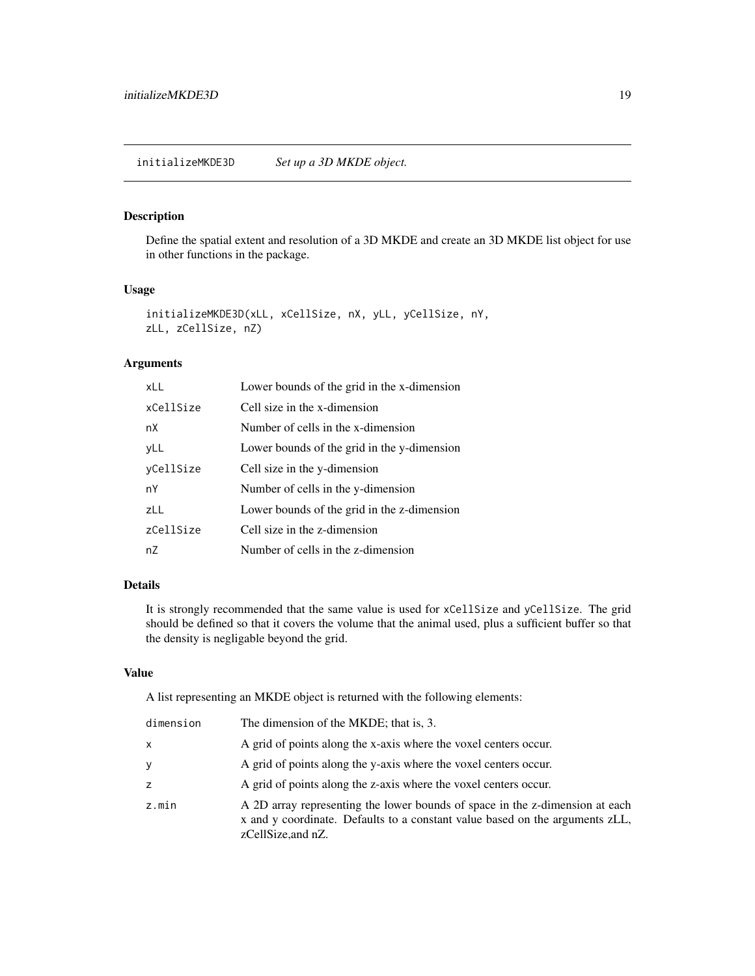## <span id="page-18-0"></span>Description

Define the spatial extent and resolution of a 3D MKDE and create an 3D MKDE list object for use in other functions in the package.

### Usage

```
initializeMKDE3D(xLL, xCellSize, nX, yLL, yCellSize, nY,
zLL, zCellSize, nZ)
```
## Arguments

| $x \perp$ | Lower bounds of the grid in the x-dimension |
|-----------|---------------------------------------------|
| xCellSize | Cell size in the x-dimension                |
| nX        | Number of cells in the x-dimension          |
| yLL       | Lower bounds of the grid in the y-dimension |
| vCellSize | Cell size in the y-dimension                |
| nY        | Number of cells in the y-dimension          |
| zLL       | Lower bounds of the grid in the z-dimension |
| zCellSize | Cell size in the z-dimension                |
| nZ        | Number of cells in the z-dimension          |

## Details

It is strongly recommended that the same value is used for xCellSize and yCellSize. The grid should be defined so that it covers the volume that the animal used, plus a sufficient buffer so that the density is negligable beyond the grid.

## Value

A list representing an MKDE object is returned with the following elements:

| dimension | The dimension of the MKDE; that is, 3.                                                                                                                                             |
|-----------|------------------------------------------------------------------------------------------------------------------------------------------------------------------------------------|
| x         | A grid of points along the x-axis where the voxel centers occur.                                                                                                                   |
| У         | A grid of points along the y-axis where the voxel centers occur.                                                                                                                   |
| Z         | A grid of points along the z-axis where the voxel centers occur.                                                                                                                   |
| z.min     | A 2D array representing the lower bounds of space in the z-dimension at each<br>x and y coordinate. Defaults to a constant value based on the arguments zLL,<br>zCellSize, and nZ. |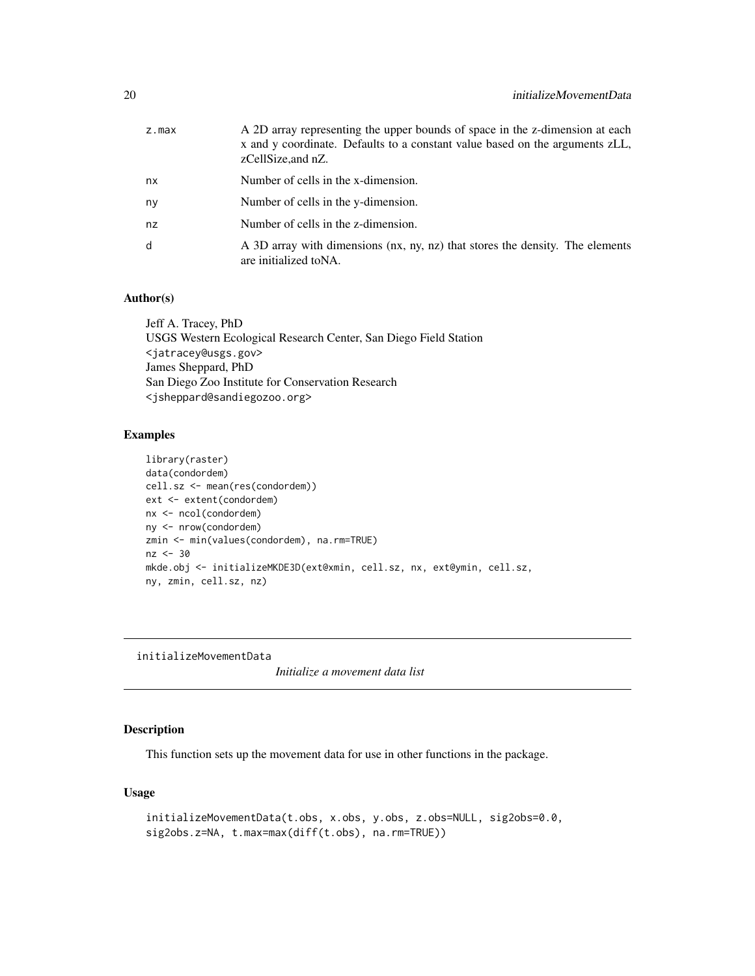<span id="page-19-0"></span>

| z.max | A 2D array representing the upper bounds of space in the z-dimension at each<br>x and y coordinate. Defaults to a constant value based on the arguments zLL,<br>zCellSize, and nZ. |
|-------|------------------------------------------------------------------------------------------------------------------------------------------------------------------------------------|
| nx    | Number of cells in the x-dimension.                                                                                                                                                |
| ny    | Number of cells in the y-dimension.                                                                                                                                                |
| nz    | Number of cells in the z-dimension.                                                                                                                                                |
| d     | A 3D array with dimensions (nx, ny, nz) that stores the density. The elements<br>are initialized to NA.                                                                            |
|       |                                                                                                                                                                                    |

## Author(s)

Jeff A. Tracey, PhD USGS Western Ecological Research Center, San Diego Field Station <jatracey@usgs.gov> James Sheppard, PhD San Diego Zoo Institute for Conservation Research <jsheppard@sandiegozoo.org>

## Examples

```
library(raster)
data(condordem)
cell.sz <- mean(res(condordem))
ext <- extent(condordem)
nx <- ncol(condordem)
ny <- nrow(condordem)
zmin <- min(values(condordem), na.rm=TRUE)
nz < -30mkde.obj <- initializeMKDE3D(ext@xmin, cell.sz, nx, ext@ymin, cell.sz,
ny, zmin, cell.sz, nz)
```
initializeMovementData

*Initialize a movement data list*

## Description

This function sets up the movement data for use in other functions in the package.

## Usage

```
initializeMovementData(t.obs, x.obs, y.obs, z.obs=NULL, sig2obs=0.0,
sig2obs.z=NA, t.max=max(diff(t.obs), na.rm=TRUE))
```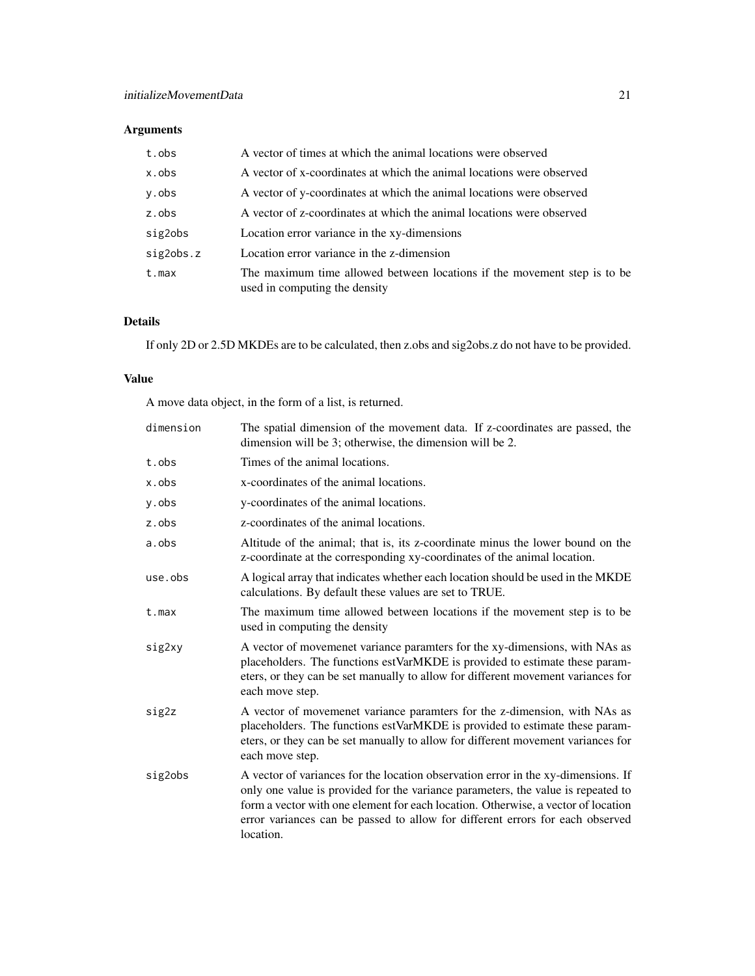## Arguments

| A vector of times at which the animal locations were observed                                             |
|-----------------------------------------------------------------------------------------------------------|
| A vector of x-coordinates at which the animal locations were observed                                     |
| A vector of y-coordinates at which the animal locations were observed                                     |
| A vector of z-coordinates at which the animal locations were observed                                     |
| Location error variance in the xy-dimensions                                                              |
| Location error variance in the z-dimension                                                                |
| The maximum time allowed between locations if the movement step is to be<br>used in computing the density |
|                                                                                                           |

## Details

If only 2D or 2.5D MKDEs are to be calculated, then z.obs and sig2obs.z do not have to be provided.

## Value

A move data object, in the form of a list, is returned.

| dimension | The spatial dimension of the movement data. If z-coordinates are passed, the<br>dimension will be 3; otherwise, the dimension will be 2.                                                                                                                                                                                                                 |
|-----------|----------------------------------------------------------------------------------------------------------------------------------------------------------------------------------------------------------------------------------------------------------------------------------------------------------------------------------------------------------|
| t.obs     | Times of the animal locations.                                                                                                                                                                                                                                                                                                                           |
| x.obs     | x-coordinates of the animal locations.                                                                                                                                                                                                                                                                                                                   |
| y.obs     | y-coordinates of the animal locations.                                                                                                                                                                                                                                                                                                                   |
| z.obs     | z-coordinates of the animal locations.                                                                                                                                                                                                                                                                                                                   |
| a.obs     | Altitude of the animal; that is, its z-coordinate minus the lower bound on the<br>z-coordinate at the corresponding xy-coordinates of the animal location.                                                                                                                                                                                               |
| use.obs   | A logical array that indicates whether each location should be used in the MKDE<br>calculations. By default these values are set to TRUE.                                                                                                                                                                                                                |
| $t$ . max | The maximum time allowed between locations if the movement step is to be<br>used in computing the density                                                                                                                                                                                                                                                |
| sig2xy    | A vector of movemenet variance paramters for the xy-dimensions, with NAs as<br>placeholders. The functions estVarMKDE is provided to estimate these param-<br>eters, or they can be set manually to allow for different movement variances for<br>each move step.                                                                                        |
| sig2z     | A vector of movemenet variance paramters for the z-dimension, with NAs as<br>placeholders. The functions estVarMKDE is provided to estimate these param-<br>eters, or they can be set manually to allow for different movement variances for<br>each move step.                                                                                          |
| sig2obs   | A vector of variances for the location observation error in the xy-dimensions. If<br>only one value is provided for the variance parameters, the value is repeated to<br>form a vector with one element for each location. Otherwise, a vector of location<br>error variances can be passed to allow for different errors for each observed<br>location. |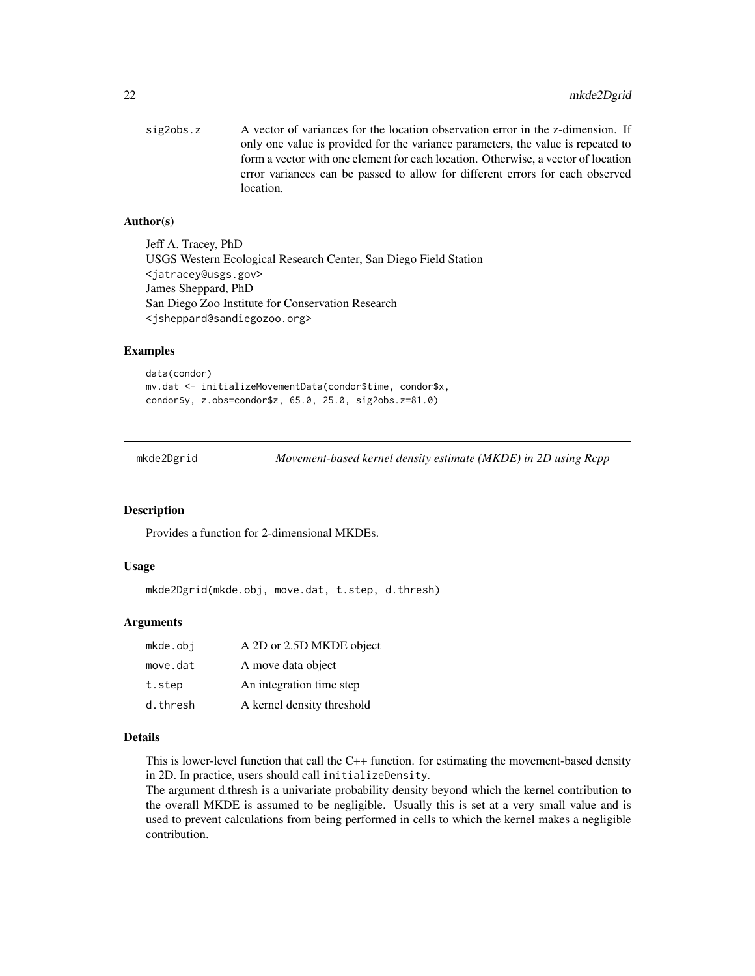<span id="page-21-0"></span>sig2obs.z A vector of variances for the location observation error in the z-dimension. If only one value is provided for the variance parameters, the value is repeated to form a vector with one element for each location. Otherwise, a vector of location error variances can be passed to allow for different errors for each observed location.

### Author(s)

Jeff A. Tracey, PhD USGS Western Ecological Research Center, San Diego Field Station <jatracey@usgs.gov> James Sheppard, PhD San Diego Zoo Institute for Conservation Research <jsheppard@sandiegozoo.org>

### Examples

data(condor) mv.dat <- initializeMovementData(condor\$time, condor\$x, condor\$y, z.obs=condor\$z, 65.0, 25.0, sig2obs.z=81.0)

mkde2Dgrid *Movement-based kernel density estimate (MKDE) in 2D using Rcpp*

### **Description**

Provides a function for 2-dimensional MKDEs.

### Usage

mkde2Dgrid(mkde.obj, move.dat, t.step, d.thresh)

## Arguments

| mkde.obj | A 2D or 2.5D MKDE object   |
|----------|----------------------------|
| move.dat | A move data object         |
| t.step   | An integration time step   |
| d.thresh | A kernel density threshold |

### Details

This is lower-level function that call the C++ function. for estimating the movement-based density in 2D. In practice, users should call initializeDensity.

The argument d.thresh is a univariate probability density beyond which the kernel contribution to the overall MKDE is assumed to be negligible. Usually this is set at a very small value and is used to prevent calculations from being performed in cells to which the kernel makes a negligible contribution.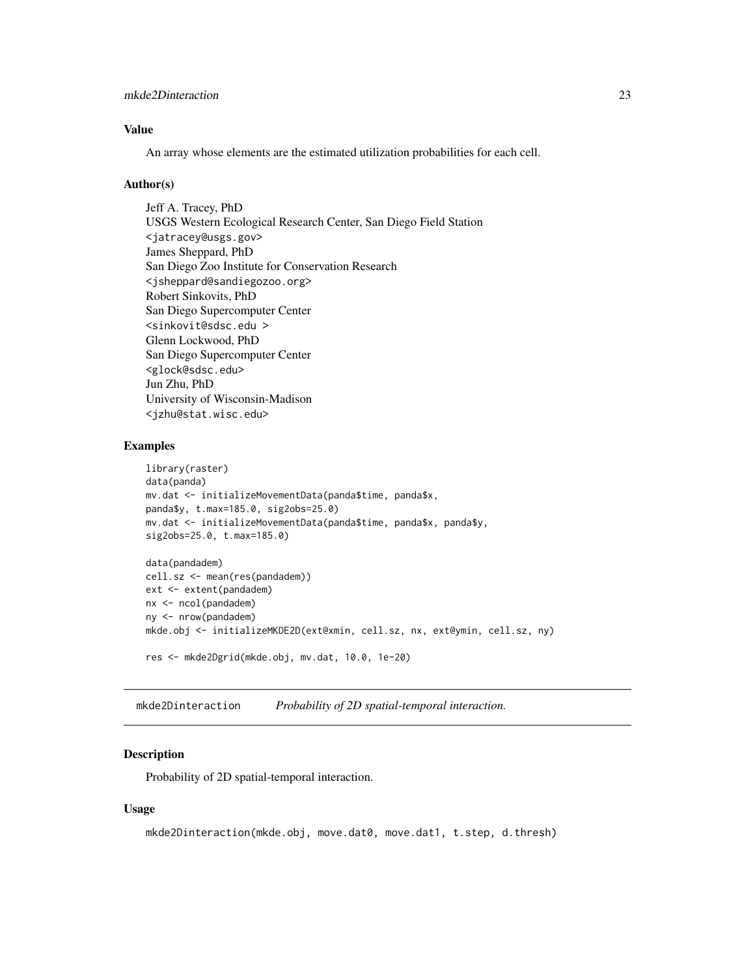## <span id="page-22-0"></span>Value

An array whose elements are the estimated utilization probabilities for each cell.

### Author(s)

Jeff A. Tracey, PhD USGS Western Ecological Research Center, San Diego Field Station <jatracey@usgs.gov> James Sheppard, PhD San Diego Zoo Institute for Conservation Research <jsheppard@sandiegozoo.org> Robert Sinkovits, PhD San Diego Supercomputer Center <sinkovit@sdsc.edu > Glenn Lockwood, PhD San Diego Supercomputer Center <glock@sdsc.edu> Jun Zhu, PhD University of Wisconsin-Madison <jzhu@stat.wisc.edu>

## Examples

```
library(raster)
data(panda)
mv.dat <- initializeMovementData(panda$time, panda$x,
panda$y, t.max=185.0, sig2obs=25.0)
mv.dat <- initializeMovementData(panda$time, panda$x, panda$y,
sig2obs=25.0, t.max=185.0)
data(pandadem)
cell.sz <- mean(res(pandadem))
ext <- extent(pandadem)
nx <- ncol(pandadem)
ny <- nrow(pandadem)
mkde.obj <- initializeMKDE2D(ext@xmin, cell.sz, nx, ext@ymin, cell.sz, ny)
res <- mkde2Dgrid(mkde.obj, mv.dat, 10.0, 1e-20)
```
mkde2Dinteraction *Probability of 2D spatial-temporal interaction.*

## **Description**

Probability of 2D spatial-temporal interaction.

## Usage

```
mkde2Dinteraction(mkde.obj, move.dat0, move.dat1, t.step, d.thresh)
```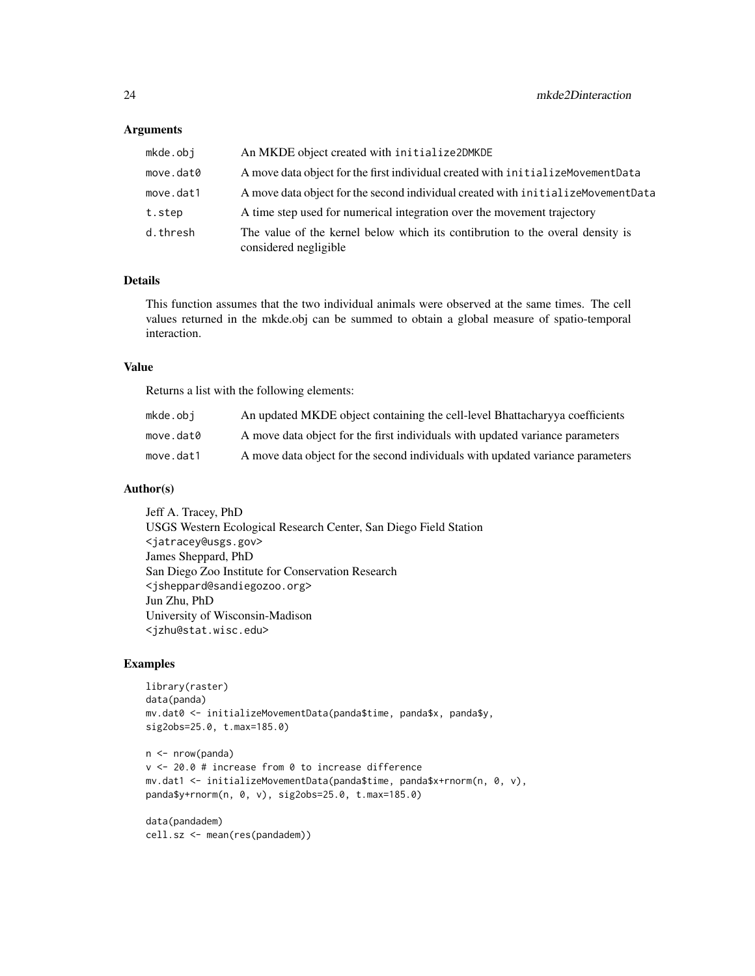### **Arguments**

| mkde.obj  | An MKDE object created with initialize2DMKDE                                                           |
|-----------|--------------------------------------------------------------------------------------------------------|
| move.dat0 | A move data object for the first individual created with initialize Movement Data                      |
| move.dat1 | A move data object for the second individual created with initialize Movement Data                     |
| t.step    | A time step used for numerical integration over the movement trajectory                                |
| d.thresh  | The value of the kernel below which its contibrution to the overal density is<br>considered negligible |

## Details

This function assumes that the two individual animals were observed at the same times. The cell values returned in the mkde.obj can be summed to obtain a global measure of spatio-temporal interaction.

### Value

Returns a list with the following elements:

| mkde.obi  | An updated MKDE object containing the cell-level Bhattachary a coefficients    |
|-----------|--------------------------------------------------------------------------------|
| move.dat0 | A move data object for the first individuals with updated variance parameters  |
| move.dat1 | A move data object for the second individuals with updated variance parameters |

## Author(s)

Jeff A. Tracey, PhD USGS Western Ecological Research Center, San Diego Field Station <jatracey@usgs.gov> James Sheppard, PhD San Diego Zoo Institute for Conservation Research <jsheppard@sandiegozoo.org> Jun Zhu, PhD University of Wisconsin-Madison <jzhu@stat.wisc.edu>

### Examples

```
library(raster)
data(panda)
mv.dat0 <- initializeMovementData(panda$time, panda$x, panda$y,
sig2obs=25.0, t.max=185.0)
n <- nrow(panda)
v <- 20.0 # increase from 0 to increase difference
mv.dat1 <- initializeMovementData(panda$time, panda$x+rnorm(n, 0, v),
panda$y+rnorm(n, 0, v), sig2obs=25.0, t.max=185.0)
```
data(pandadem) cell.sz <- mean(res(pandadem))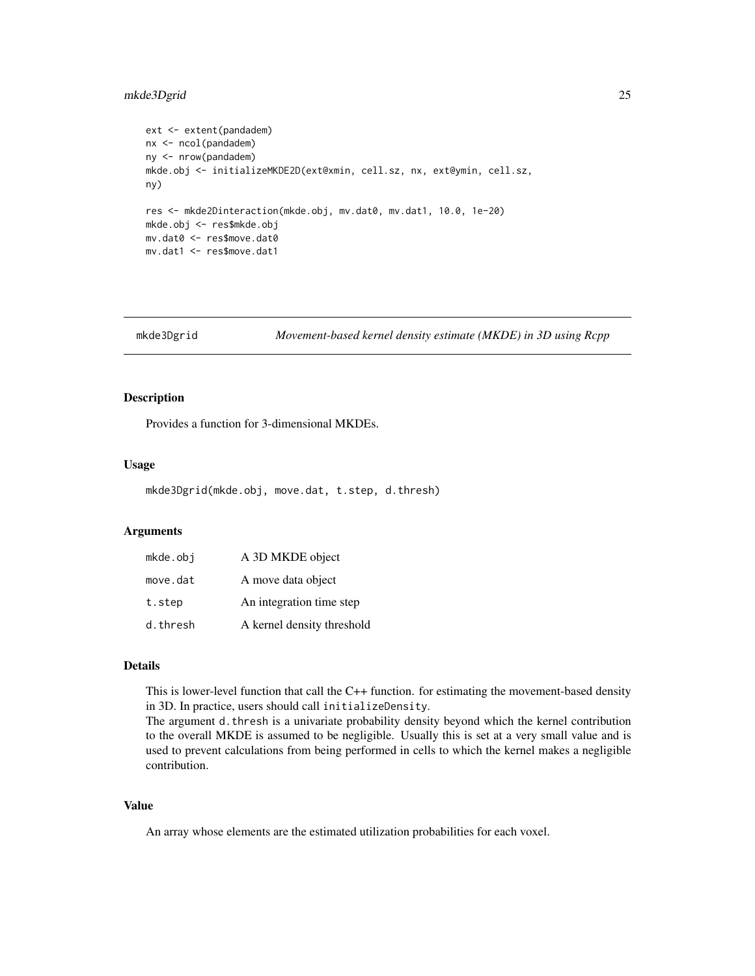## <span id="page-24-0"></span>mkde3Dgrid 25

```
ext <- extent(pandadem)
nx <- ncol(pandadem)
ny <- nrow(pandadem)
mkde.obj <- initializeMKDE2D(ext@xmin, cell.sz, nx, ext@ymin, cell.sz,
ny)
res <- mkde2Dinteraction(mkde.obj, mv.dat0, mv.dat1, 10.0, 1e-20)
mkde.obj <- res$mkde.obj
mv.dat0 <- res$move.dat0
mv.dat1 <- res$move.dat1
```
mkde3Dgrid *Movement-based kernel density estimate (MKDE) in 3D using Rcpp*

### Description

Provides a function for 3-dimensional MKDEs.

### Usage

```
mkde3Dgrid(mkde.obj, move.dat, t.step, d.thresh)
```
## Arguments

| mkde.obj | A 3D MKDE object           |
|----------|----------------------------|
| move.dat | A move data object         |
| t.step   | An integration time step   |
| d.thresh | A kernel density threshold |

### Details

This is lower-level function that call the C++ function. for estimating the movement-based density in 3D. In practice, users should call initializeDensity.

The argument d.thresh is a univariate probability density beyond which the kernel contribution to the overall MKDE is assumed to be negligible. Usually this is set at a very small value and is used to prevent calculations from being performed in cells to which the kernel makes a negligible contribution.

## Value

An array whose elements are the estimated utilization probabilities for each voxel.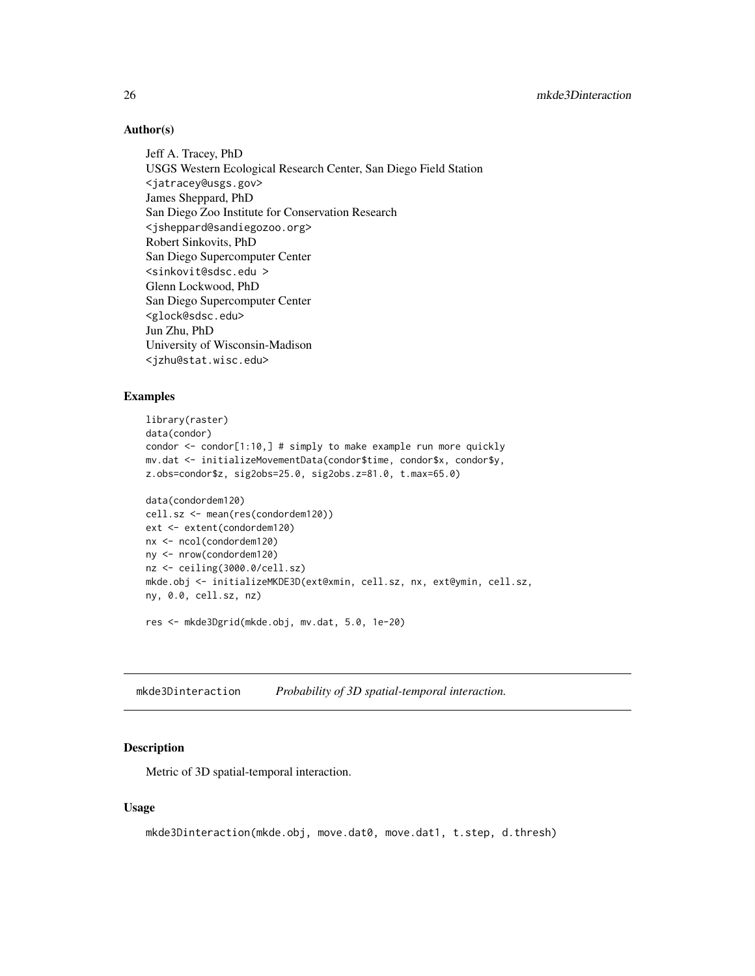## Author(s)

Jeff A. Tracey, PhD USGS Western Ecological Research Center, San Diego Field Station <jatracey@usgs.gov> James Sheppard, PhD San Diego Zoo Institute for Conservation Research <jsheppard@sandiegozoo.org> Robert Sinkovits, PhD San Diego Supercomputer Center <sinkovit@sdsc.edu > Glenn Lockwood, PhD San Diego Supercomputer Center <glock@sdsc.edu> Jun Zhu, PhD University of Wisconsin-Madison <jzhu@stat.wisc.edu>

### Examples

```
library(raster)
data(condor)
condor <- condor[1:10,] # simply to make example run more quickly
mv.dat <- initializeMovementData(condor$time, condor$x, condor$y,
z.obs=condor$z, sig2obs=25.0, sig2obs.z=81.0, t.max=65.0)
data(condordem120)
cell.sz <- mean(res(condordem120))
ext <- extent(condordem120)
nx <- ncol(condordem120)
ny <- nrow(condordem120)
nz <- ceiling(3000.0/cell.sz)
mkde.obj <- initializeMKDE3D(ext@xmin, cell.sz, nx, ext@ymin, cell.sz,
ny, 0.0, cell.sz, nz)
```
res <- mkde3Dgrid(mkde.obj, mv.dat, 5.0, 1e-20)

mkde3Dinteraction *Probability of 3D spatial-temporal interaction.*

### Description

Metric of 3D spatial-temporal interaction.

### Usage

```
mkde3Dinteraction(mkde.obj, move.dat0, move.dat1, t.step, d.thresh)
```
<span id="page-25-0"></span>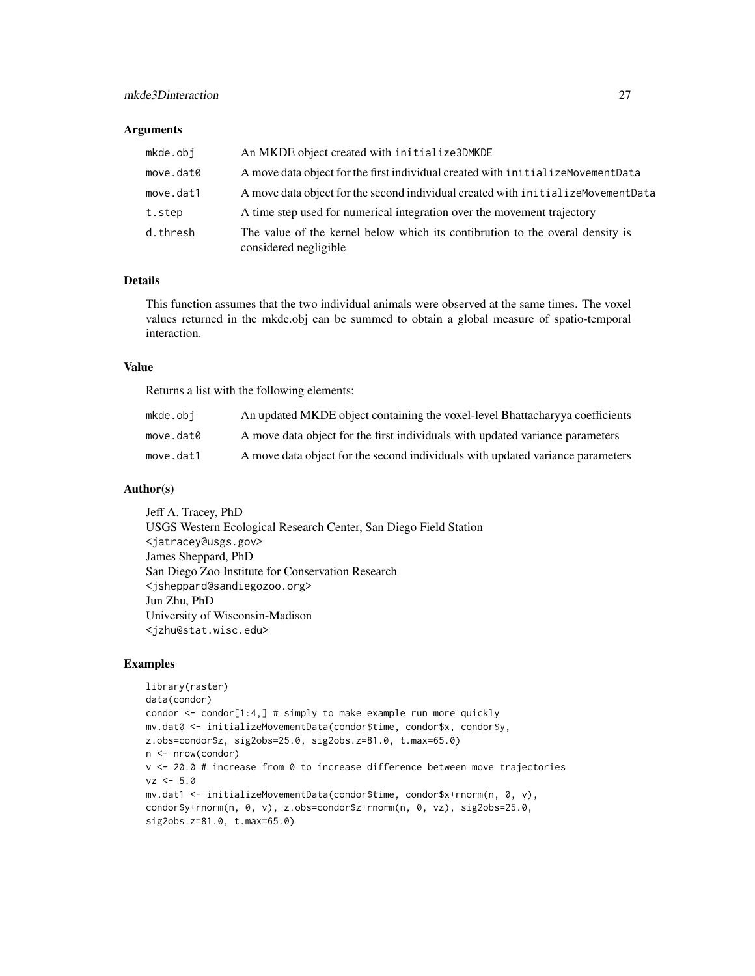### **Arguments**

| mkde.obj  | An MKDE object created with initialize3DMKDE                                                           |
|-----------|--------------------------------------------------------------------------------------------------------|
| move.dat0 | A move data object for the first individual created with initialize Movement Data                      |
| move.dat1 | A move data object for the second individual created with initialize Movement Data                     |
| t.step    | A time step used for numerical integration over the movement trajectory                                |
| d.thresh  | The value of the kernel below which its contibrution to the overal density is<br>considered negligible |

## Details

This function assumes that the two individual animals were observed at the same times. The voxel values returned in the mkde.obj can be summed to obtain a global measure of spatio-temporal interaction.

### Value

Returns a list with the following elements:

| mkde.obi  | An updated MKDE object containing the voxel-level Bhattachary va coefficients  |
|-----------|--------------------------------------------------------------------------------|
| move.dat0 | A move data object for the first individuals with updated variance parameters  |
| move.dat1 | A move data object for the second individuals with updated variance parameters |

## Author(s)

Jeff A. Tracey, PhD USGS Western Ecological Research Center, San Diego Field Station <jatracey@usgs.gov> James Sheppard, PhD San Diego Zoo Institute for Conservation Research <jsheppard@sandiegozoo.org> Jun Zhu, PhD University of Wisconsin-Madison <jzhu@stat.wisc.edu>

```
library(raster)
data(condor)
condor <- condor[1:4,] # simply to make example run more quickly
mv.dat0 <- initializeMovementData(condor$time, condor$x, condor$y,
z.obs=condor$z, sig2obs=25.0, sig2obs.z=81.0, t.max=65.0)
n <- nrow(condor)
v <- 20.0 # increase from 0 to increase difference between move trajectories
vz < -5.0mv.dat1 <- initializeMovementData(condor$time, condor$x+rnorm(n, 0, v),
condor$y+rnorm(n, 0, v), z.obs=condor$z+rnorm(n, 0, vz), sig2obs=25.0,
sig2obs.z=81.0, t.max=65.0)
```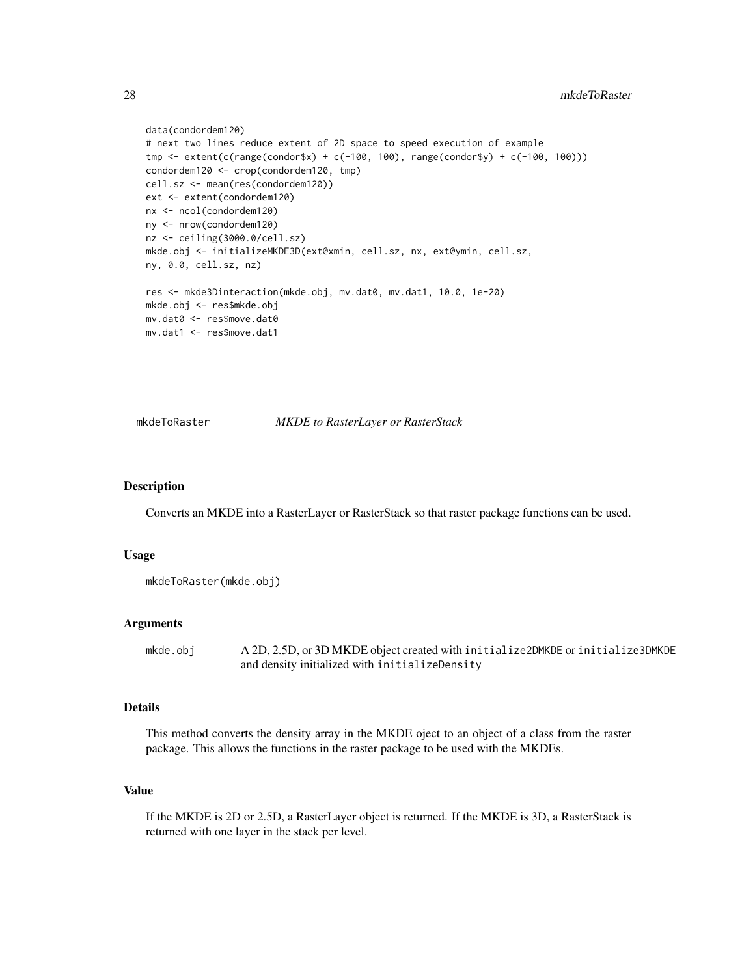```
data(condordem120)
# next two lines reduce extent of 2D space to speed execution of example
tmp <- extent(c(range(condor$x) + c(-100, 100), range(condor$y) + c(-100, 100)))
condordem120 <- crop(condordem120, tmp)
cell.sz <- mean(res(condordem120))
ext <- extent(condordem120)
nx <- ncol(condordem120)
ny <- nrow(condordem120)
nz <- ceiling(3000.0/cell.sz)
mkde.obj <- initializeMKDE3D(ext@xmin, cell.sz, nx, ext@ymin, cell.sz,
ny, 0.0, cell.sz, nz)
res <- mkde3Dinteraction(mkde.obj, mv.dat0, mv.dat1, 10.0, 1e-20)
mkde.obj <- res$mkde.obj
mv.dat0 <- res$move.dat0
mv.dat1 <- res$move.dat1
```
### mkdeToRaster *MKDE to RasterLayer or RasterStack*

## **Description**

Converts an MKDE into a RasterLayer or RasterStack so that raster package functions can be used.

## Usage

```
mkdeToRaster(mkde.obj)
```
### Arguments

mkde.obj A 2D, 2.5D, or 3D MKDE object created with initialize2DMKDE or initialize3DMKDE and density initialized with initializeDensity

## Details

This method converts the density array in the MKDE oject to an object of a class from the raster package. This allows the functions in the raster package to be used with the MKDEs.

### Value

If the MKDE is 2D or 2.5D, a RasterLayer object is returned. If the MKDE is 3D, a RasterStack is returned with one layer in the stack per level.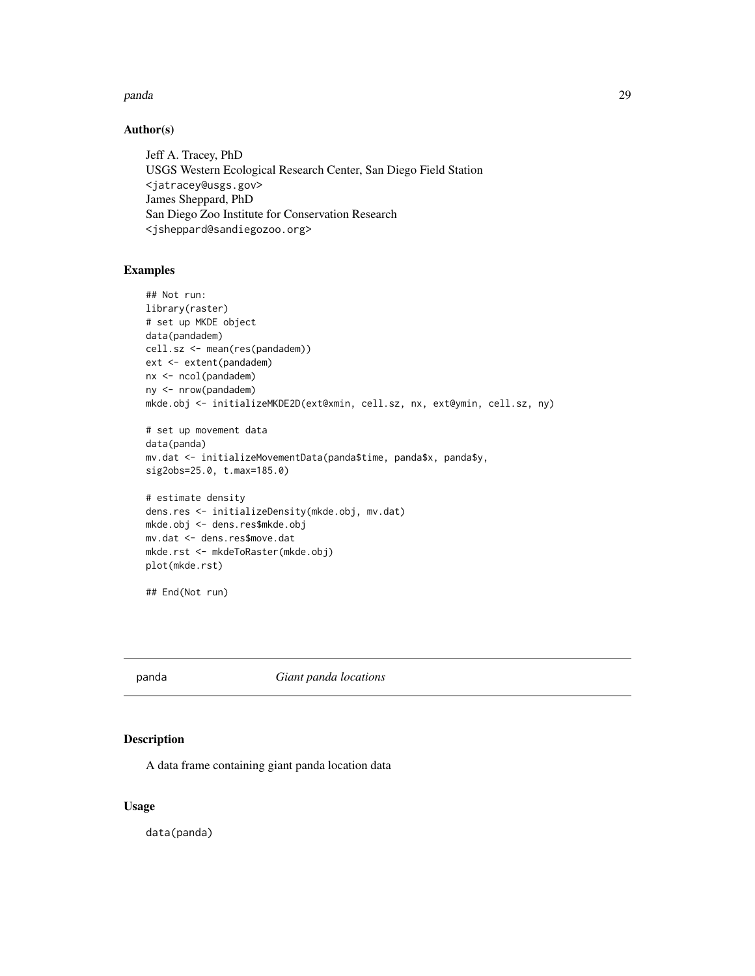### <span id="page-28-0"></span>panda 29

## Author(s)

Jeff A. Tracey, PhD USGS Western Ecological Research Center, San Diego Field Station <jatracey@usgs.gov> James Sheppard, PhD San Diego Zoo Institute for Conservation Research <jsheppard@sandiegozoo.org>

## Examples

```
## Not run:
library(raster)
# set up MKDE object
data(pandadem)
cell.sz <- mean(res(pandadem))
ext <- extent(pandadem)
nx <- ncol(pandadem)
ny <- nrow(pandadem)
mkde.obj <- initializeMKDE2D(ext@xmin, cell.sz, nx, ext@ymin, cell.sz, ny)
# set up movement data
data(panda)
mv.dat <- initializeMovementData(panda$time, panda$x, panda$y,
sig2obs=25.0, t.max=185.0)
# estimate density
dens.res <- initializeDensity(mkde.obj, mv.dat)
mkde.obj <- dens.res$mkde.obj
mv.dat <- dens.res$move.dat
mkde.rst <- mkdeToRaster(mkde.obj)
plot(mkde.rst)
## End(Not run)
```
panda *Giant panda locations*

## Description

A data frame containing giant panda location data

## Usage

data(panda)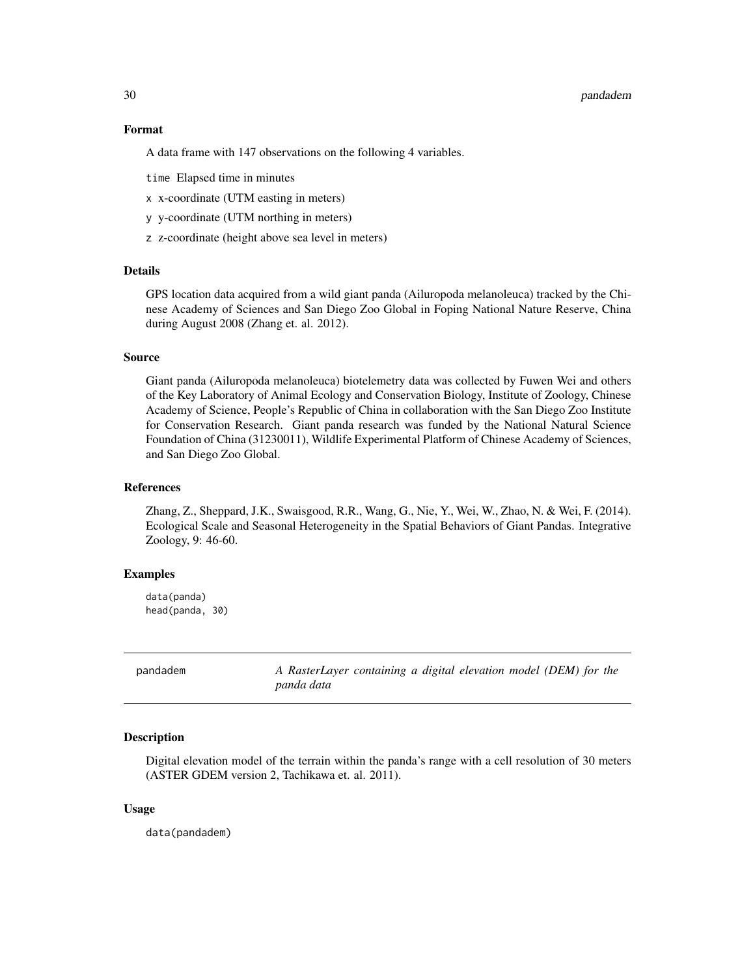### <span id="page-29-0"></span>30 pandadem

## Format

A data frame with 147 observations on the following 4 variables.

time Elapsed time in minutes

- x x-coordinate (UTM easting in meters)
- y y-coordinate (UTM northing in meters)
- z z-coordinate (height above sea level in meters)

## Details

GPS location data acquired from a wild giant panda (Ailuropoda melanoleuca) tracked by the Chinese Academy of Sciences and San Diego Zoo Global in Foping National Nature Reserve, China during August 2008 (Zhang et. al. 2012).

### Source

Giant panda (Ailuropoda melanoleuca) biotelemetry data was collected by Fuwen Wei and others of the Key Laboratory of Animal Ecology and Conservation Biology, Institute of Zoology, Chinese Academy of Science, People's Republic of China in collaboration with the San Diego Zoo Institute for Conservation Research. Giant panda research was funded by the National Natural Science Foundation of China (31230011), Wildlife Experimental Platform of Chinese Academy of Sciences, and San Diego Zoo Global.

## References

Zhang, Z., Sheppard, J.K., Swaisgood, R.R., Wang, G., Nie, Y., Wei, W., Zhao, N. & Wei, F. (2014). Ecological Scale and Seasonal Heterogeneity in the Spatial Behaviors of Giant Pandas. Integrative Zoology, 9: 46-60.

### Examples

data(panda) head(panda, 30)

pandadem *A RasterLayer containing a digital elevation model (DEM) for the panda data*

### Description

Digital elevation model of the terrain within the panda's range with a cell resolution of 30 meters (ASTER GDEM version 2, Tachikawa et. al. 2011).

### Usage

data(pandadem)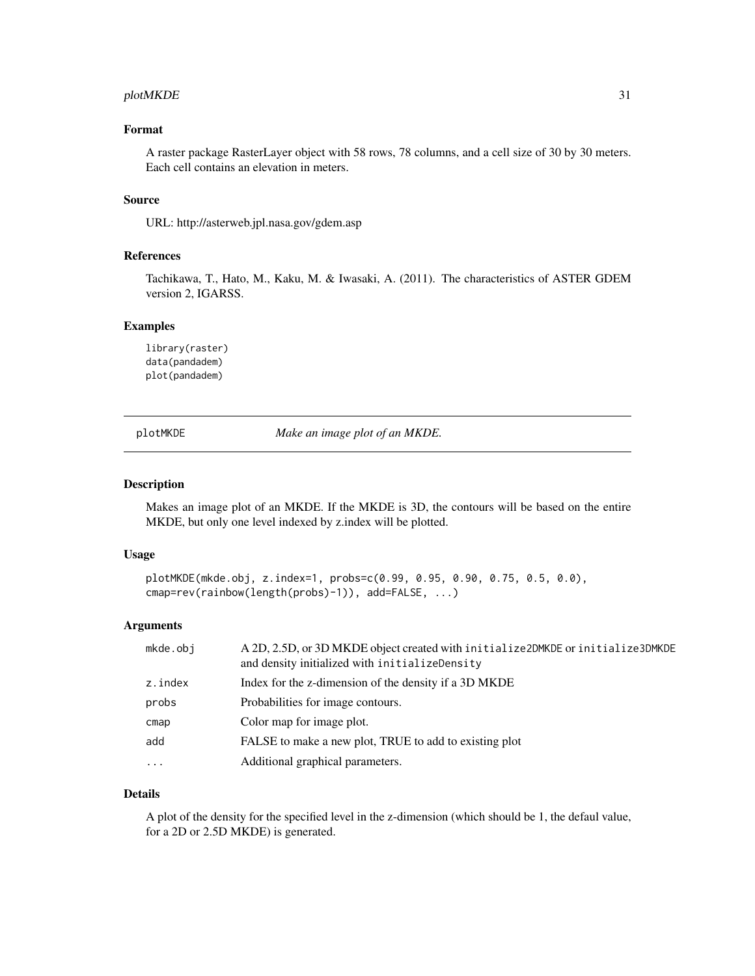## <span id="page-30-0"></span>plotMKDE 31

## Format

A raster package RasterLayer object with 58 rows, 78 columns, and a cell size of 30 by 30 meters. Each cell contains an elevation in meters.

## Source

URL: http://asterweb.jpl.nasa.gov/gdem.asp

### References

Tachikawa, T., Hato, M., Kaku, M. & Iwasaki, A. (2011). The characteristics of ASTER GDEM version 2, IGARSS.

## Examples

```
library(raster)
data(pandadem)
plot(pandadem)
```
plotMKDE *Make an image plot of an MKDE.*

### Description

Makes an image plot of an MKDE. If the MKDE is 3D, the contours will be based on the entire MKDE, but only one level indexed by z.index will be plotted.

## Usage

```
plotMKDE(mkde.obj, z.index=1, probs=c(0.99, 0.95, 0.90, 0.75, 0.5, 0.0),
cmap=rev(rainbow(length(probs)-1)), add=FALSE, ...)
```
## Arguments

| mkde.obj | A 2D, 2.5D, or 3D MKDE object created with initialize2DMKDE or initialize3DMKDE<br>and density initialized with initializeDensity |
|----------|-----------------------------------------------------------------------------------------------------------------------------------|
| z.index  | Index for the z-dimension of the density if a 3D MKDE                                                                             |
| probs    | Probabilities for image contours.                                                                                                 |
| cmap     | Color map for image plot.                                                                                                         |
| add      | FALSE to make a new plot, TRUE to add to existing plot                                                                            |
| $\cdot$  | Additional graphical parameters.                                                                                                  |
|          |                                                                                                                                   |

## Details

A plot of the density for the specified level in the z-dimension (which should be 1, the defaul value, for a 2D or 2.5D MKDE) is generated.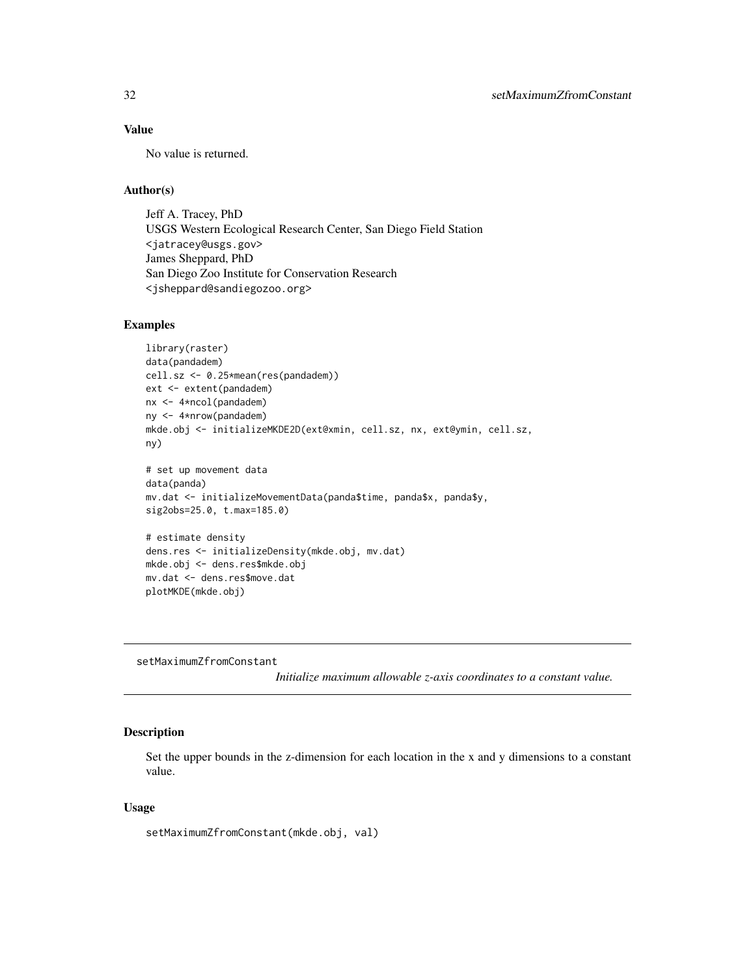## <span id="page-31-0"></span>Value

No value is returned.

## Author(s)

Jeff A. Tracey, PhD USGS Western Ecological Research Center, San Diego Field Station <jatracey@usgs.gov> James Sheppard, PhD San Diego Zoo Institute for Conservation Research <jsheppard@sandiegozoo.org>

## Examples

```
library(raster)
data(pandadem)
cell.sz <- 0.25*mean(res(pandadem))
ext <- extent(pandadem)
nx <- 4*ncol(pandadem)
ny <- 4*nrow(pandadem)
mkde.obj <- initializeMKDE2D(ext@xmin, cell.sz, nx, ext@ymin, cell.sz,
ny)
# set up movement data
data(panda)
mv.dat <- initializeMovementData(panda$time, panda$x, panda$y,
sig2obs=25.0, t.max=185.0)
# estimate density
dens.res <- initializeDensity(mkde.obj, mv.dat)
mkde.obj <- dens.res$mkde.obj
mv.dat <- dens.res$move.dat
plotMKDE(mkde.obj)
```
setMaximumZfromConstant

*Initialize maximum allowable z-axis coordinates to a constant value.*

## Description

Set the upper bounds in the z-dimension for each location in the x and y dimensions to a constant value.

## Usage

setMaximumZfromConstant(mkde.obj, val)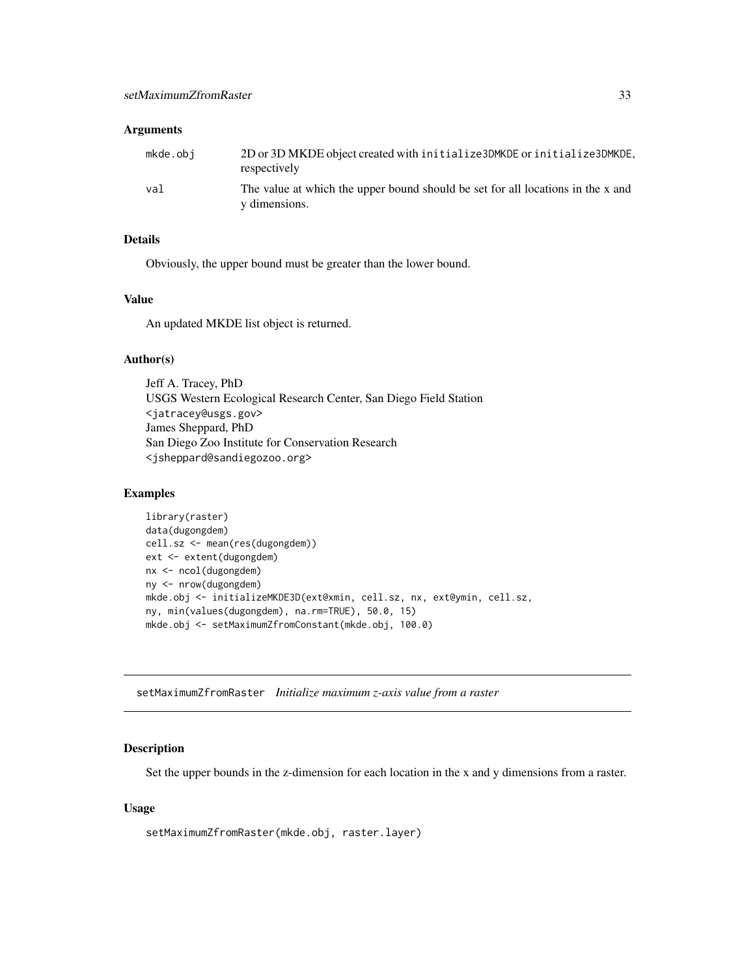## <span id="page-32-0"></span>Arguments

| mkde.obi | 2D or 3D MKDE object created with initialize3DMKDE or initialize3DMKDE,<br>respectively          |
|----------|--------------------------------------------------------------------------------------------------|
| val      | The value at which the upper bound should be set for all locations in the x and<br>y dimensions. |

## Details

Obviously, the upper bound must be greater than the lower bound.

## Value

An updated MKDE list object is returned.

## Author(s)

Jeff A. Tracey, PhD USGS Western Ecological Research Center, San Diego Field Station <jatracey@usgs.gov> James Sheppard, PhD San Diego Zoo Institute for Conservation Research <jsheppard@sandiegozoo.org>

### Examples

```
library(raster)
data(dugongdem)
cell.sz <- mean(res(dugongdem))
ext <- extent(dugongdem)
nx <- ncol(dugongdem)
ny <- nrow(dugongdem)
mkde.obj <- initializeMKDE3D(ext@xmin, cell.sz, nx, ext@ymin, cell.sz,
ny, min(values(dugongdem), na.rm=TRUE), 50.0, 15)
mkde.obj <- setMaximumZfromConstant(mkde.obj, 100.0)
```
setMaximumZfromRaster *Initialize maximum z-axis value from a raster*

### Description

Set the upper bounds in the z-dimension for each location in the x and y dimensions from a raster.

## Usage

```
setMaximumZfromRaster(mkde.obj, raster.layer)
```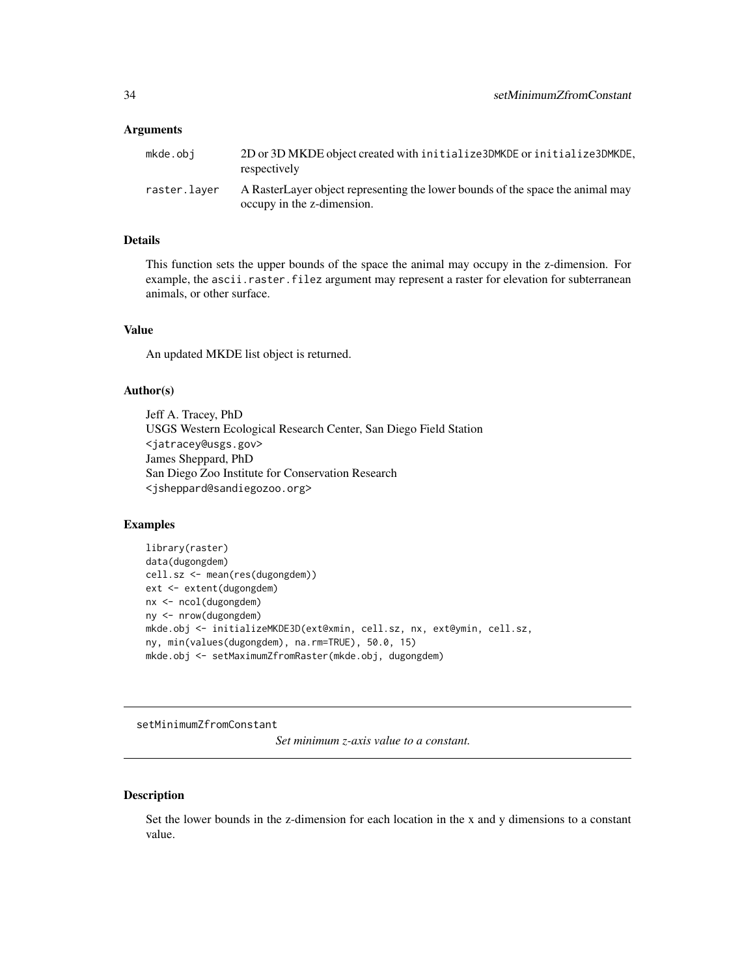### <span id="page-33-0"></span>**Arguments**

| mkde.obi     | 2D or 3D MKDE object created with initialize 3DMKDE or initialize 3DMKDE,<br>respectively                    |
|--------------|--------------------------------------------------------------------------------------------------------------|
| raster.laver | A RasterLayer object representing the lower bounds of the space the animal may<br>occupy in the z-dimension. |

## Details

This function sets the upper bounds of the space the animal may occupy in the z-dimension. For example, the ascii.raster.filez argument may represent a raster for elevation for subterranean animals, or other surface.

## Value

An updated MKDE list object is returned.

### Author(s)

Jeff A. Tracey, PhD USGS Western Ecological Research Center, San Diego Field Station <jatracey@usgs.gov> James Sheppard, PhD San Diego Zoo Institute for Conservation Research <jsheppard@sandiegozoo.org>

## Examples

```
library(raster)
data(dugongdem)
cell.sz <- mean(res(dugongdem))
ext <- extent(dugongdem)
nx <- ncol(dugongdem)
ny <- nrow(dugongdem)
mkde.obj <- initializeMKDE3D(ext@xmin, cell.sz, nx, ext@ymin, cell.sz,
ny, min(values(dugongdem), na.rm=TRUE), 50.0, 15)
mkde.obj <- setMaximumZfromRaster(mkde.obj, dugongdem)
```
setMinimumZfromConstant

*Set minimum z-axis value to a constant.*

## Description

Set the lower bounds in the z-dimension for each location in the x and y dimensions to a constant value.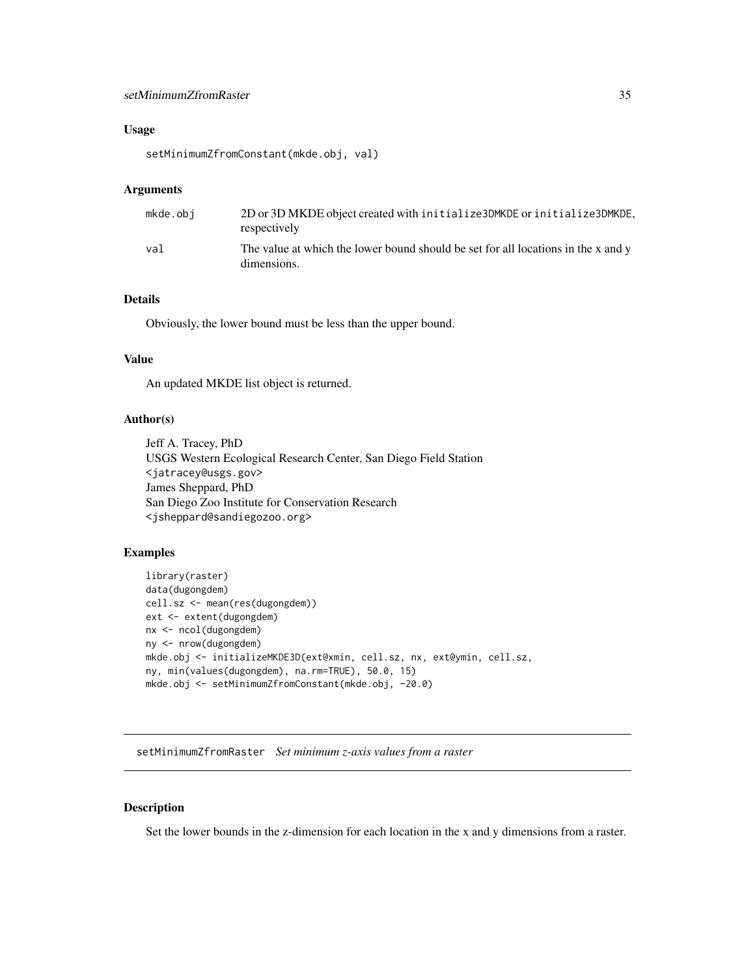## <span id="page-34-0"></span>Usage

setMinimumZfromConstant(mkde.obj, val)

## Arguments

| mkde.obi | 2D or 3D MKDE object created with initialize 3DMKDE or initialize 3DMKDE,<br>respectively        |
|----------|--------------------------------------------------------------------------------------------------|
| val      | The value at which the lower bound should be set for all locations in the x and y<br>dimensions. |

## Details

Obviously, the lower bound must be less than the upper bound.

## Value

An updated MKDE list object is returned.

## Author(s)

Jeff A. Tracey, PhD USGS Western Ecological Research Center, San Diego Field Station <jatracey@usgs.gov> James Sheppard, PhD San Diego Zoo Institute for Conservation Research <jsheppard@sandiegozoo.org>

### Examples

```
library(raster)
data(dugongdem)
cell.sz <- mean(res(dugongdem))
ext <- extent(dugongdem)
nx <- ncol(dugongdem)
ny <- nrow(dugongdem)
mkde.obj <- initializeMKDE3D(ext@xmin, cell.sz, nx, ext@ymin, cell.sz,
ny, min(values(dugongdem), na.rm=TRUE), 50.0, 15)
mkde.obj <- setMinimumZfromConstant(mkde.obj, -20.0)
```
setMinimumZfromRaster *Set minimum z-axis values from a raster*

## Description

Set the lower bounds in the z-dimension for each location in the x and y dimensions from a raster.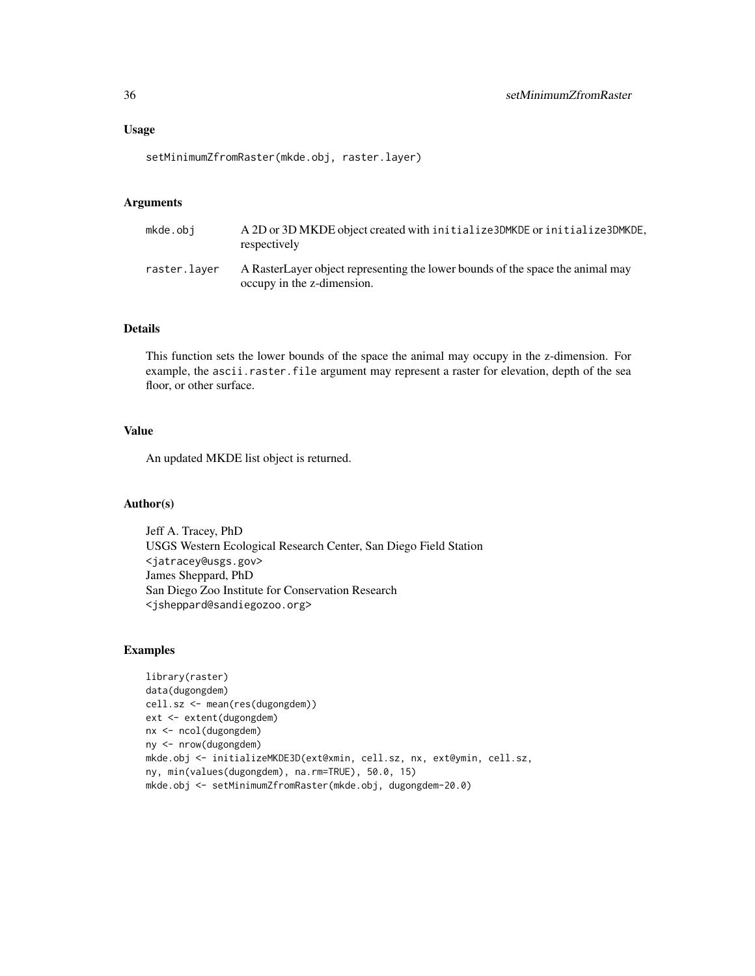setMinimumZfromRaster(mkde.obj, raster.layer)

## Arguments

| mkde.obi     | A 2D or 3D MKDE object created with initialize 3DMKDE or initialize 3DMKDE,<br>respectively                  |
|--------------|--------------------------------------------------------------------------------------------------------------|
| raster.layer | A RasterLayer object representing the lower bounds of the space the animal may<br>occupy in the z-dimension. |

### Details

This function sets the lower bounds of the space the animal may occupy in the z-dimension. For example, the ascii.raster.file argument may represent a raster for elevation, depth of the sea floor, or other surface.

## Value

An updated MKDE list object is returned.

### Author(s)

Jeff A. Tracey, PhD USGS Western Ecological Research Center, San Diego Field Station <jatracey@usgs.gov> James Sheppard, PhD San Diego Zoo Institute for Conservation Research <jsheppard@sandiegozoo.org>

```
library(raster)
data(dugongdem)
cell.sz <- mean(res(dugongdem))
ext <- extent(dugongdem)
nx <- ncol(dugongdem)
ny <- nrow(dugongdem)
mkde.obj <- initializeMKDE3D(ext@xmin, cell.sz, nx, ext@ymin, cell.sz,
ny, min(values(dugongdem), na.rm=TRUE), 50.0, 15)
mkde.obj <- setMinimumZfromRaster(mkde.obj, dugongdem-20.0)
```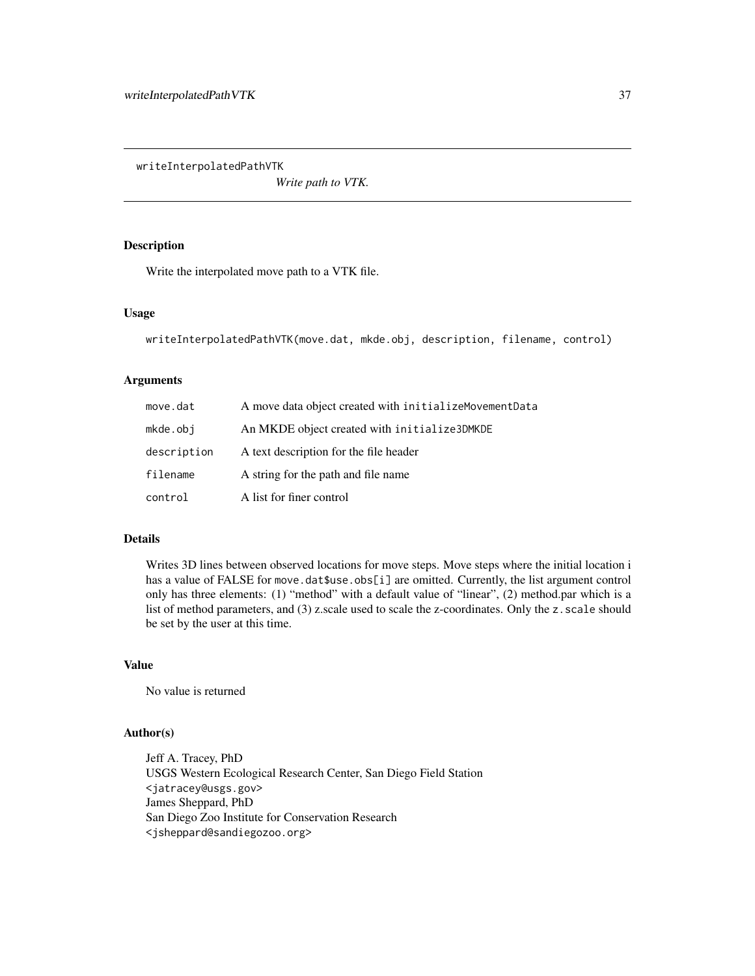<span id="page-36-0"></span>writeInterpolatedPathVTK

*Write path to VTK.*

## Description

Write the interpolated move path to a VTK file.

### Usage

```
writeInterpolatedPathVTK(move.dat, mkde.obj, description, filename, control)
```
## Arguments

| move.dat    | A move data object created with initializeMovementData |
|-------------|--------------------------------------------------------|
| mkde.obi    | An MKDE object created with initialize3DMKDE           |
| description | A text description for the file header                 |
| filename    | A string for the path and file name                    |
| control     | A list for finer control                               |

## Details

Writes 3D lines between observed locations for move steps. Move steps where the initial location i has a value of FALSE for move.dat\$use.obs[i] are omitted. Currently, the list argument control only has three elements: (1) "method" with a default value of "linear", (2) method.par which is a list of method parameters, and (3) z.scale used to scale the z-coordinates. Only the z. scale should be set by the user at this time.

## Value

No value is returned

## Author(s)

Jeff A. Tracey, PhD USGS Western Ecological Research Center, San Diego Field Station <jatracey@usgs.gov> James Sheppard, PhD San Diego Zoo Institute for Conservation Research <jsheppard@sandiegozoo.org>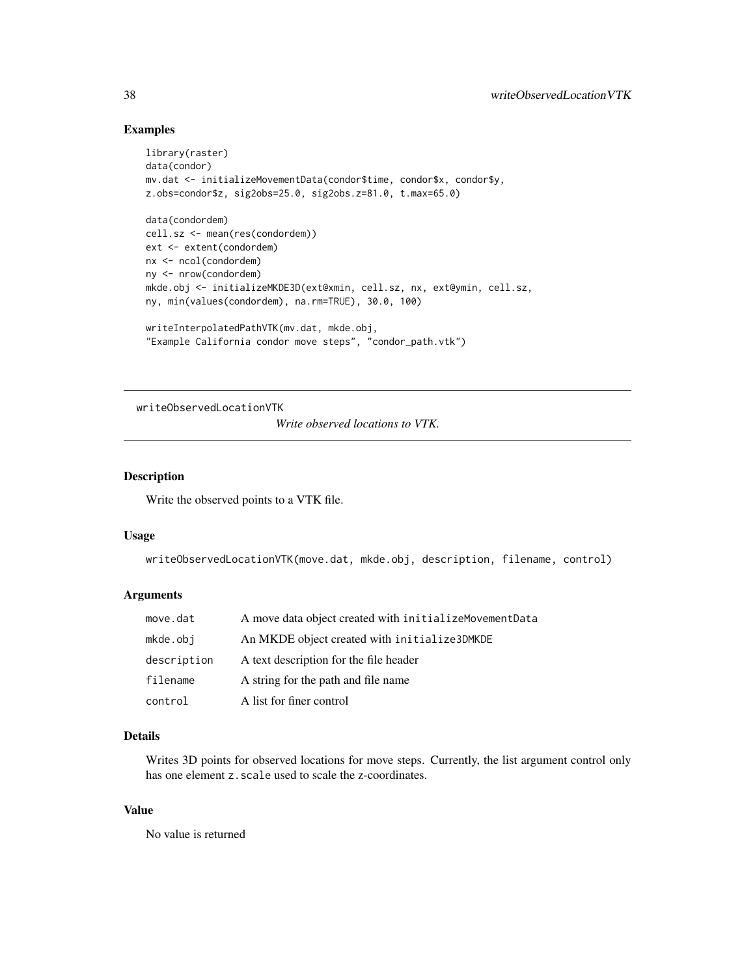## Examples

```
library(raster)
data(condor)
mv.dat <- initializeMovementData(condor$time, condor$x, condor$y,
z.obs=condor$z, sig2obs=25.0, sig2obs.z=81.0, t.max=65.0)
data(condordem)
cell.sz <- mean(res(condordem))
ext <- extent(condordem)
nx <- ncol(condordem)
ny <- nrow(condordem)
mkde.obj <- initializeMKDE3D(ext@xmin, cell.sz, nx, ext@ymin, cell.sz,
ny, min(values(condordem), na.rm=TRUE), 30.0, 100)
writeInterpolatedPathVTK(mv.dat, mkde.obj,
"Example California condor move steps", "condor_path.vtk")
```
writeObservedLocationVTK

*Write observed locations to VTK.*

## Description

Write the observed points to a VTK file.

### Usage

writeObservedLocationVTK(move.dat, mkde.obj, description, filename, control)

### Arguments

| move.dat    | A move data object created with initializeMovementData |
|-------------|--------------------------------------------------------|
| mkde.obi    | An MKDE object created with initialize3DMKDE           |
| description | A text description for the file header                 |
| filename    | A string for the path and file name                    |
| control     | A list for finer control                               |

## Details

Writes 3D points for observed locations for move steps. Currently, the list argument control only has one element z. scale used to scale the z-coordinates.

### Value

No value is returned

<span id="page-37-0"></span>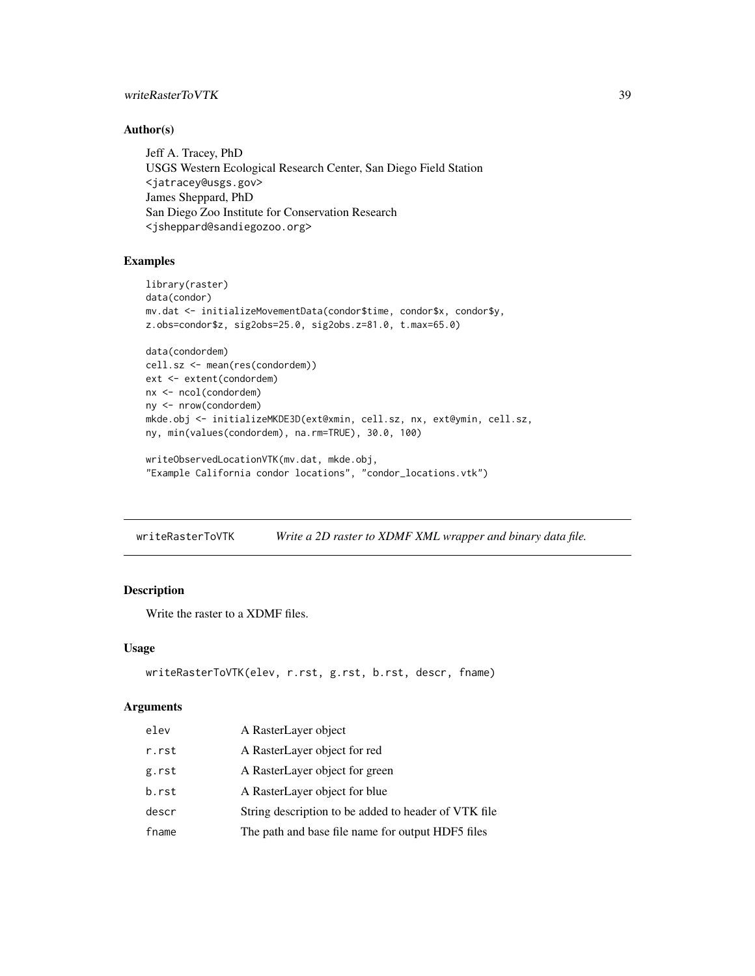## <span id="page-38-0"></span>writeRasterToVTK 39

## Author(s)

Jeff A. Tracey, PhD USGS Western Ecological Research Center, San Diego Field Station <jatracey@usgs.gov> James Sheppard, PhD San Diego Zoo Institute for Conservation Research <jsheppard@sandiegozoo.org>

### Examples

```
library(raster)
data(condor)
mv.dat <- initializeMovementData(condor$time, condor$x, condor$y,
z.obs=condor$z, sig2obs=25.0, sig2obs.z=81.0, t.max=65.0)
data(condordem)
cell.sz <- mean(res(condordem))
ext <- extent(condordem)
nx <- ncol(condordem)
ny <- nrow(condordem)
mkde.obj <- initializeMKDE3D(ext@xmin, cell.sz, nx, ext@ymin, cell.sz,
ny, min(values(condordem), na.rm=TRUE), 30.0, 100)
writeObservedLocationVTK(mv.dat, mkde.obj,
```

```
"Example California condor locations", "condor_locations.vtk")
```
writeRasterToVTK *Write a 2D raster to XDMF XML wrapper and binary data file.*

## Description

Write the raster to a XDMF files.

### Usage

```
writeRasterToVTK(elev, r.rst, g.rst, b.rst, descr, fname)
```
### Arguments

| elev  | A RasterLayer object                                 |
|-------|------------------------------------------------------|
| r.rst | A RasterLayer object for red                         |
| g.rst | A RasterLayer object for green                       |
| b.rst | A RasterLayer object for blue                        |
| descr | String description to be added to header of VTK file |
| fname | The path and base file name for output HDF5 files    |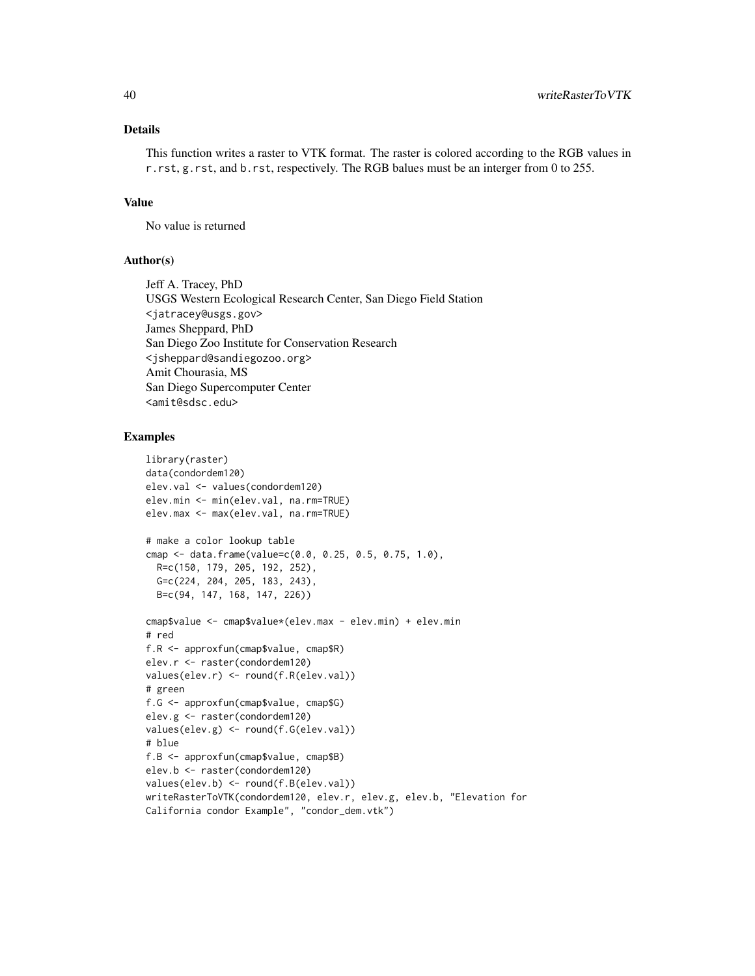## Details

This function writes a raster to VTK format. The raster is colored according to the RGB values in r.rst, g.rst, and b.rst, respectively. The RGB balues must be an interger from 0 to 255.

## Value

No value is returned

### Author(s)

Jeff A. Tracey, PhD USGS Western Ecological Research Center, San Diego Field Station <jatracey@usgs.gov> James Sheppard, PhD San Diego Zoo Institute for Conservation Research <jsheppard@sandiegozoo.org> Amit Chourasia, MS San Diego Supercomputer Center <amit@sdsc.edu>

```
library(raster)
data(condordem120)
elev.val <- values(condordem120)
elev.min <- min(elev.val, na.rm=TRUE)
elev.max <- max(elev.val, na.rm=TRUE)
# make a color lookup table
cmap <- data.frame(value=c(0.0, 0.25, 0.5, 0.75, 1.0),
  R=c(150, 179, 205, 192, 252),
  G=c(224, 204, 205, 183, 243),
  B=c(94, 147, 168, 147, 226))
cmap$value <- cmap$value*(elev.max - elev.min) + elev.min
# red
f.R <- approxfun(cmap$value, cmap$R)
elev.r <- raster(condordem120)
values(elev.r) <- round(f.R(elev.val))
# green
f.G <- approxfun(cmap$value, cmap$G)
elev.g <- raster(condordem120)
values(elev.g) <- round(f.G(elev.val))
# blue
f.B <- approxfun(cmap$value, cmap$B)
elev.b <- raster(condordem120)
values(elev.b) <- round(f.B(elev.val))
writeRasterToVTK(condordem120, elev.r, elev.g, elev.b, "Elevation for
California condor Example", "condor_dem.vtk")
```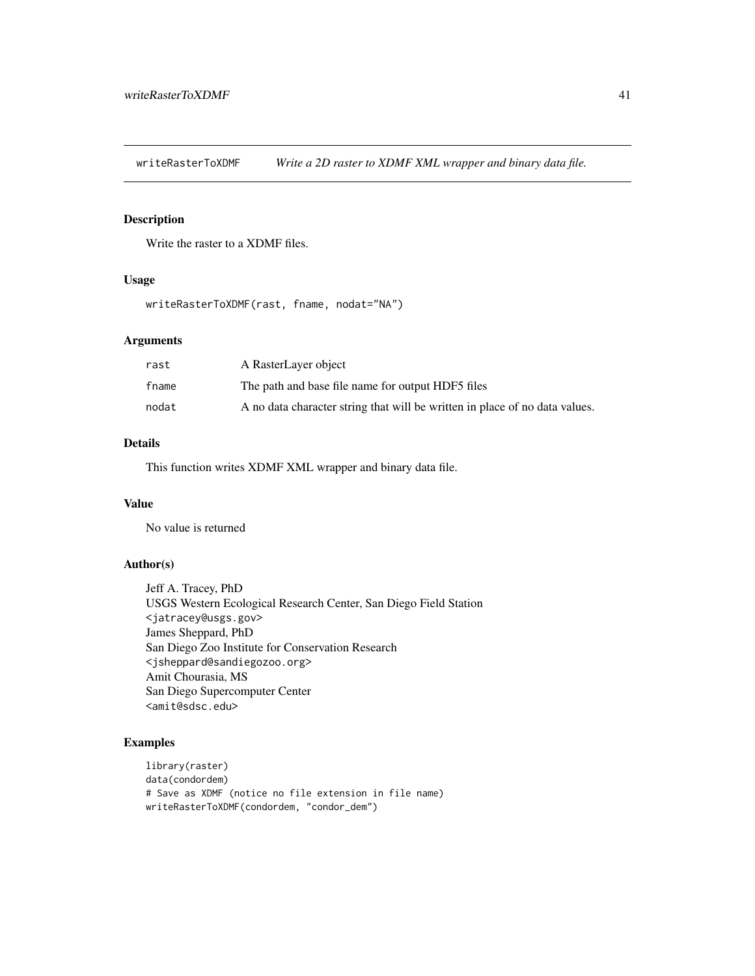<span id="page-40-0"></span>writeRasterToXDMF *Write a 2D raster to XDMF XML wrapper and binary data file.*

## Description

Write the raster to a XDMF files.

## Usage

writeRasterToXDMF(rast, fname, nodat="NA")

## Arguments

| rast  | A RasterLayer object                                                        |
|-------|-----------------------------------------------------------------------------|
| fname | The path and base file name for output HDF5 files                           |
| nodat | A no data character string that will be written in place of no data values. |

## Details

This function writes XDMF XML wrapper and binary data file.

## Value

No value is returned

## Author(s)

Jeff A. Tracey, PhD USGS Western Ecological Research Center, San Diego Field Station <jatracey@usgs.gov> James Sheppard, PhD San Diego Zoo Institute for Conservation Research <jsheppard@sandiegozoo.org> Amit Chourasia, MS San Diego Supercomputer Center <amit@sdsc.edu>

```
library(raster)
data(condordem)
# Save as XDMF (notice no file extension in file name)
writeRasterToXDMF(condordem, "condor_dem")
```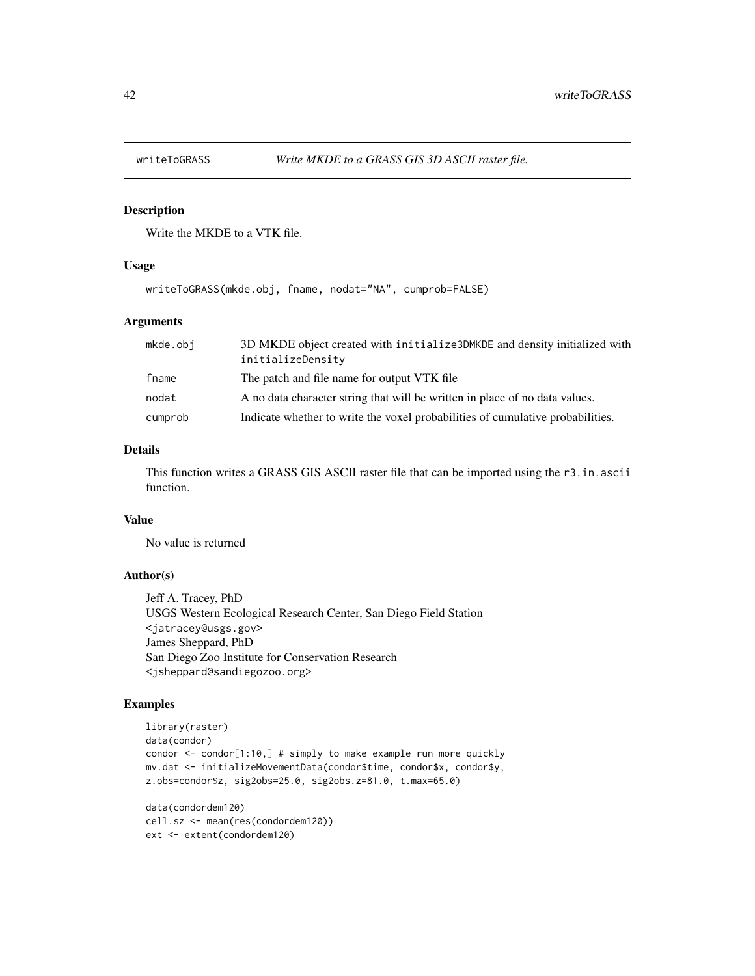<span id="page-41-0"></span>

## Description

Write the MKDE to a VTK file.

### Usage

writeToGRASS(mkde.obj, fname, nodat="NA", cumprob=FALSE)

### Arguments

| mkde.obj | 3D MKDE object created with initialize3DMKDE and density initialized with<br>initializeDensity |
|----------|------------------------------------------------------------------------------------------------|
| fname    | The patch and file name for output VTK file                                                    |
| nodat    | A no data character string that will be written in place of no data values.                    |
| cumprob  | Indicate whether to write the voxel probabilities of cumulative probabilities.                 |

## Details

This function writes a GRASS GIS ASCII raster file that can be imported using the r3.in.ascii function.

## Value

No value is returned

## Author(s)

Jeff A. Tracey, PhD USGS Western Ecological Research Center, San Diego Field Station <jatracey@usgs.gov> James Sheppard, PhD San Diego Zoo Institute for Conservation Research <jsheppard@sandiegozoo.org>

## Examples

```
library(raster)
data(condor)
condor \le- condor[1:10,] # simply to make example run more quickly
mv.dat <- initializeMovementData(condor$time, condor$x, condor$y,
z.obs=condor$z, sig2obs=25.0, sig2obs.z=81.0, t.max=65.0)
```
data(condordem120) cell.sz <- mean(res(condordem120)) ext <- extent(condordem120)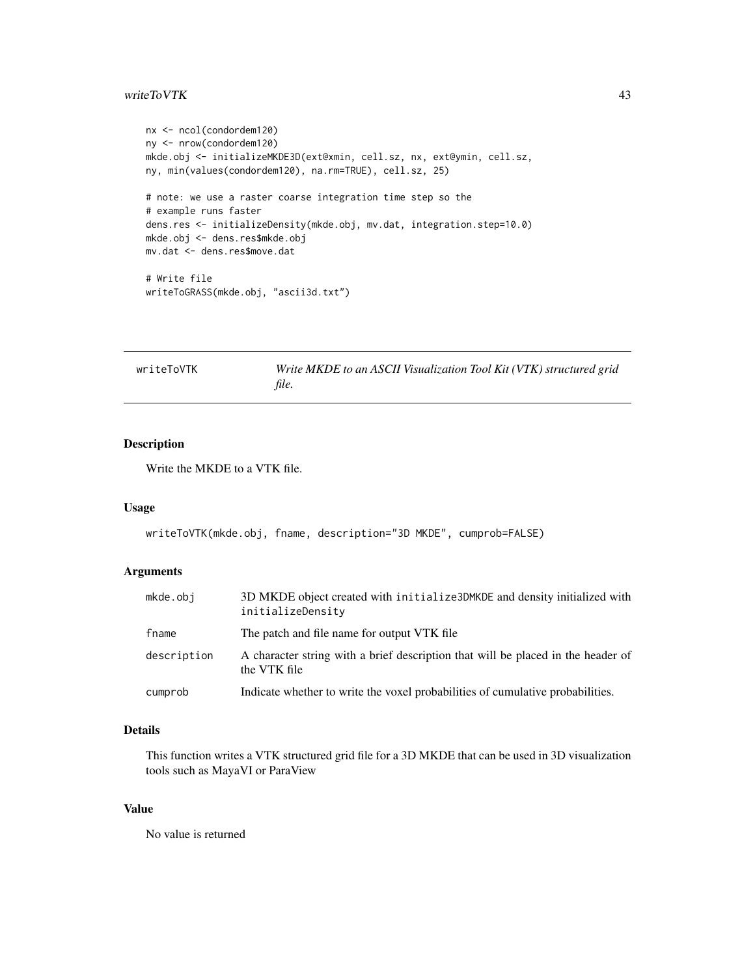### <span id="page-42-0"></span>writeToVTK 43

```
nx <- ncol(condordem120)
ny <- nrow(condordem120)
mkde.obj <- initializeMKDE3D(ext@xmin, cell.sz, nx, ext@ymin, cell.sz,
ny, min(values(condordem120), na.rm=TRUE), cell.sz, 25)
# note: we use a raster coarse integration time step so the
# example runs faster
dens.res <- initializeDensity(mkde.obj, mv.dat, integration.step=10.0)
mkde.obj <- dens.res$mkde.obj
mv.dat <- dens.res$move.dat
# Write file
writeToGRASS(mkde.obj, "ascii3d.txt")
```

| writeToVTK | Write MKDE to an ASCII Visualization Tool Kit (VTK) structured grid |  |
|------------|---------------------------------------------------------------------|--|
|            | file.                                                               |  |

## Description

Write the MKDE to a VTK file.

## Usage

```
writeToVTK(mkde.obj, fname, description="3D MKDE", cumprob=FALSE)
```
### Arguments

| mkde.obj    | 3D MKDE object created with initialize3DMKDE and density initialized with<br>initializeDensity   |
|-------------|--------------------------------------------------------------------------------------------------|
| fname       | The patch and file name for output VTK file.                                                     |
| description | A character string with a brief description that will be placed in the header of<br>the VTK file |
| cumprob     | Indicate whether to write the voxel probabilities of cumulative probabilities.                   |

## Details

This function writes a VTK structured grid file for a 3D MKDE that can be used in 3D visualization tools such as MayaVI or ParaView

## Value

No value is returned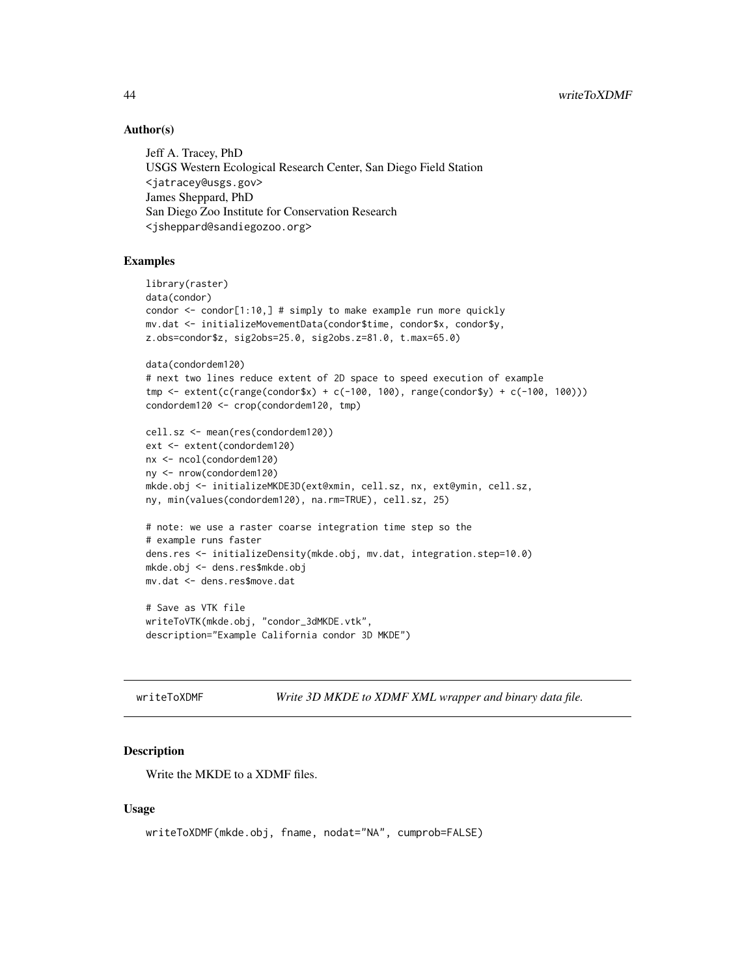## Author(s)

Jeff A. Tracey, PhD USGS Western Ecological Research Center, San Diego Field Station <jatracey@usgs.gov> James Sheppard, PhD San Diego Zoo Institute for Conservation Research <jsheppard@sandiegozoo.org>

## Examples

```
library(raster)
data(condor)
condor <- condor[1:10,] # simply to make example run more quickly
mv.dat <- initializeMovementData(condor$time, condor$x, condor$y,
z.obs=condor$z, sig2obs=25.0, sig2obs.z=81.0, t.max=65.0)
data(condordem120)
# next two lines reduce extent of 2D space to speed execution of example
tmp <- extent(c(range(condor$x) + c(-100, 100), range(condor$y) + c(-100, 100)))
condordem120 <- crop(condordem120, tmp)
cell.sz <- mean(res(condordem120))
ext <- extent(condordem120)
nx <- ncol(condordem120)
ny <- nrow(condordem120)
mkde.obj <- initializeMKDE3D(ext@xmin, cell.sz, nx, ext@ymin, cell.sz,
ny, min(values(condordem120), na.rm=TRUE), cell.sz, 25)
# note: we use a raster coarse integration time step so the
# example runs faster
dens.res <- initializeDensity(mkde.obj, mv.dat, integration.step=10.0)
mkde.obj <- dens.res$mkde.obj
mv.dat <- dens.res$move.dat
# Save as VTK file
writeToVTK(mkde.obj, "condor_3dMKDE.vtk",
description="Example California condor 3D MKDE")
```
writeToXDMF *Write 3D MKDE to XDMF XML wrapper and binary data file.*

### Description

Write the MKDE to a XDMF files.

### Usage

```
writeToXDMF(mkde.obj, fname, nodat="NA", cumprob=FALSE)
```
<span id="page-43-0"></span>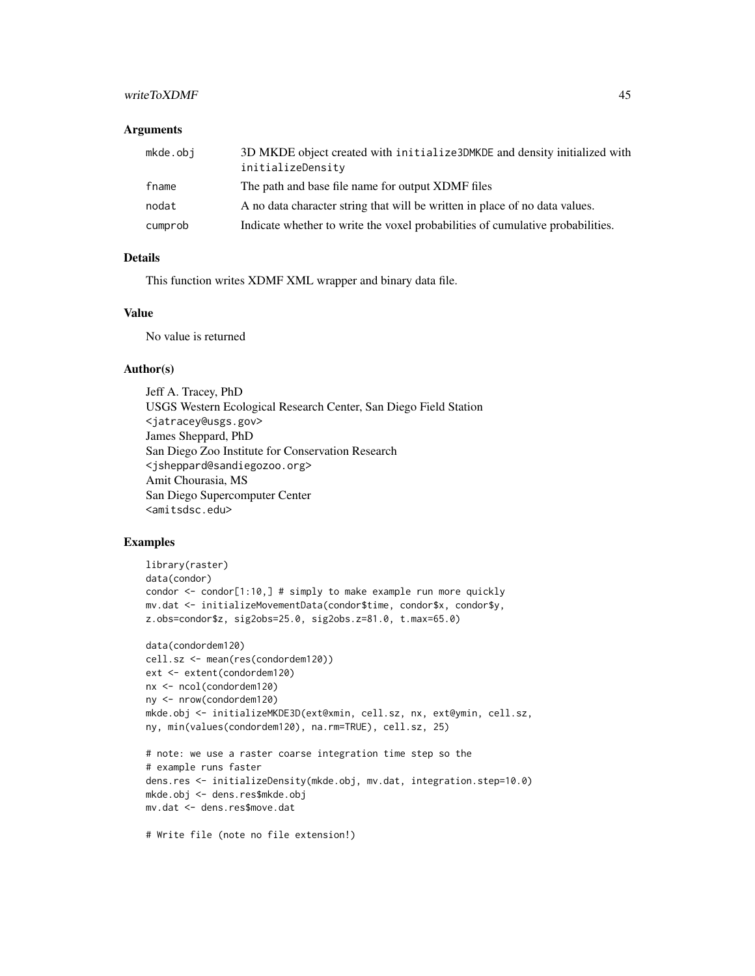## writeToXDMF 45

### **Arguments**

| mkde.obj | 3D MKDE object created with initialize 3DMKDE and density initialized with<br>initializeDensity |
|----------|-------------------------------------------------------------------------------------------------|
| fname    | The path and base file name for output XDMF files                                               |
| nodat    | A no data character string that will be written in place of no data values.                     |
| cumprob  | Indicate whether to write the voxel probabilities of cumulative probabilities.                  |

## Details

This function writes XDMF XML wrapper and binary data file.

## Value

No value is returned

### Author(s)

Jeff A. Tracey, PhD USGS Western Ecological Research Center, San Diego Field Station <jatracey@usgs.gov> James Sheppard, PhD San Diego Zoo Institute for Conservation Research <jsheppard@sandiegozoo.org> Amit Chourasia, MS San Diego Supercomputer Center <amitsdsc.edu>

## Examples

```
library(raster)
data(condor)
condor \leq condor[1:10,] # simply to make example run more quickly
mv.dat <- initializeMovementData(condor$time, condor$x, condor$y,
z.obs=condor$z, sig2obs=25.0, sig2obs.z=81.0, t.max=65.0)
data(condordem120)
cell.sz <- mean(res(condordem120))
ext <- extent(condordem120)
nx <- ncol(condordem120)
ny <- nrow(condordem120)
mkde.obj <- initializeMKDE3D(ext@xmin, cell.sz, nx, ext@ymin, cell.sz,
ny, min(values(condordem120), na.rm=TRUE), cell.sz, 25)
# note: we use a raster coarse integration time step so the
# example runs faster
dens.res <- initializeDensity(mkde.obj, mv.dat, integration.step=10.0)
mkde.obj <- dens.res$mkde.obj
mv.dat <- dens.res$move.dat
```
# Write file (note no file extension!)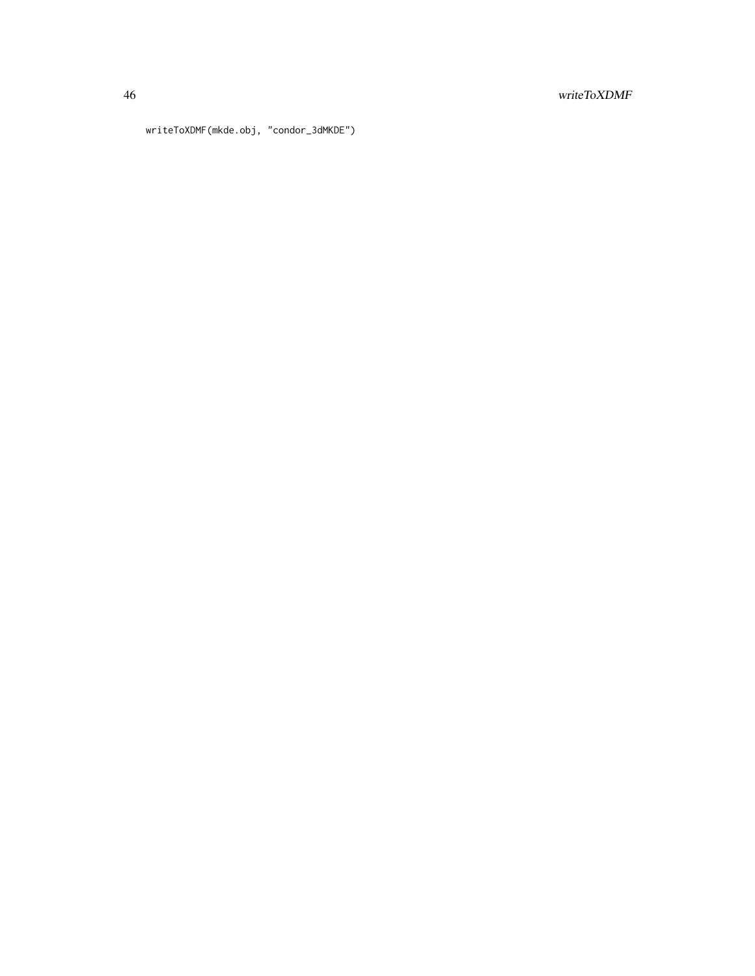## 46 writeToXDMF

writeToXDMF(mkde.obj, "condor\_3dMKDE")